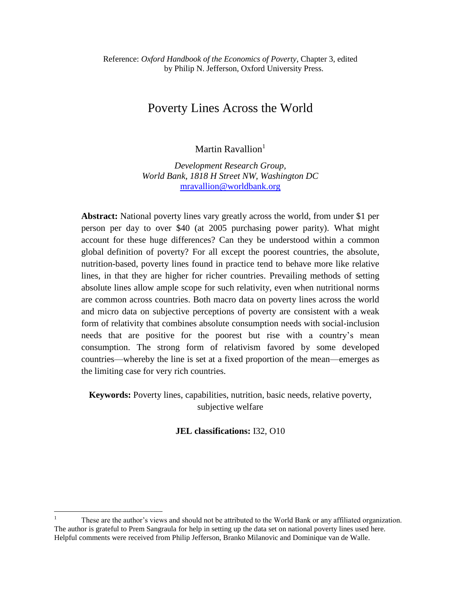# Poverty Lines Across the World

Martin Ravallion $<sup>1</sup>$ </sup>

*Development Research Group, World Bank, 1818 H Street NW, Washington DC* [mravallion@worldbank.org](mailto:mravallion@worldbank.org)

**Abstract:** National poverty lines vary greatly across the world, from under \$1 per person per day to over \$40 (at 2005 purchasing power parity). What might account for these huge differences? Can they be understood within a common global definition of poverty? For all except the poorest countries, the absolute, nutrition-based, poverty lines found in practice tend to behave more like relative lines, in that they are higher for richer countries. Prevailing methods of setting absolute lines allow ample scope for such relativity, even when nutritional norms are common across countries. Both macro data on poverty lines across the world and micro data on subjective perceptions of poverty are consistent with a weak form of relativity that combines absolute consumption needs with social-inclusion needs that are positive for the poorest but rise with a country's mean consumption. The strong form of relativism favored by some developed countries—whereby the line is set at a fixed proportion of the mean—emerges as the limiting case for very rich countries.

**Keywords:** Poverty lines, capabilities, nutrition, basic needs, relative poverty, subjective welfare

**JEL classifications:** I32, O10

 $\frac{1}{1}$  These are the author's views and should not be attributed to the World Bank or any affiliated organization. The author is grateful to Prem Sangraula for help in setting up the data set on national poverty lines used here. Helpful comments were received from Philip Jefferson, Branko Milanovic and Dominique van de Walle.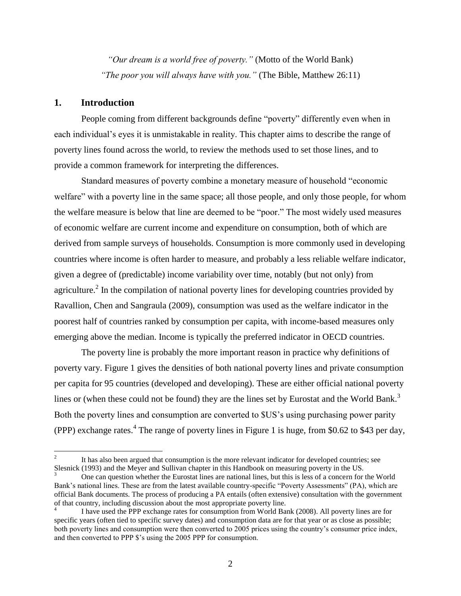*"Our dream is a world free of poverty."* (Motto of the World Bank) *"The poor you will always have with you."* (The Bible, Matthew 26:11)

# **1. Introduction**

 $\overline{a}$ 

People coming from different backgrounds define "poverty" differently even when in each individual's eyes it is unmistakable in reality. This chapter aims to describe the range of poverty lines found across the world, to review the methods used to set those lines, and to provide a common framework for interpreting the differences.

Standard measures of poverty combine a monetary measure of household "economic welfare" with a poverty line in the same space; all those people, and only those people, for whom the welfare measure is below that line are deemed to be "poor." The most widely used measures of economic welfare are current income and expenditure on consumption, both of which are derived from sample surveys of households. Consumption is more commonly used in developing countries where income is often harder to measure, and probably a less reliable welfare indicator, given a degree of (predictable) income variability over time, notably (but not only) from agriculture.<sup>2</sup> In the compilation of national poverty lines for developing countries provided by Ravallion, Chen and Sangraula (2009), consumption was used as the welfare indicator in the poorest half of countries ranked by consumption per capita, with income-based measures only emerging above the median. Income is typically the preferred indicator in OECD countries.

The poverty line is probably the more important reason in practice why definitions of poverty vary. Figure 1 gives the densities of both national poverty lines and private consumption per capita for 95 countries (developed and developing). These are either official national poverty lines or (when these could not be found) they are the lines set by Eurostat and the World Bank.<sup>3</sup> Both the poverty lines and consumption are converted to \$US's using purchasing power parity (PPP) exchange rates.<sup>4</sup> The range of poverty lines in Figure 1 is huge, from \$0.62 to \$43 per day,

<sup>2</sup> It has also been argued that consumption is the more relevant indicator for developed countries; see Slesnick (1993) and the Meyer and Sullivan chapter in this Handbook on measuring poverty in the US.

<sup>3</sup> One can question whether the Eurostat lines are national lines, but this is less of a concern for the World Bank's national lines. These are from the latest available country-specific "Poverty Assessments" (PA), which are official Bank documents. The process of producing a PA entails (often extensive) consultation with the government of that country, including discussion about the most appropriate poverty line.

<sup>4</sup> I have used the PPP exchange rates for consumption from World Bank (2008). All poverty lines are for specific years (often tied to specific survey dates) and consumption data are for that year or as close as possible; both poverty lines and consumption were then converted to 2005 prices using the country's consumer price index, and then converted to PPP \$'s using the 2005 PPP for consumption.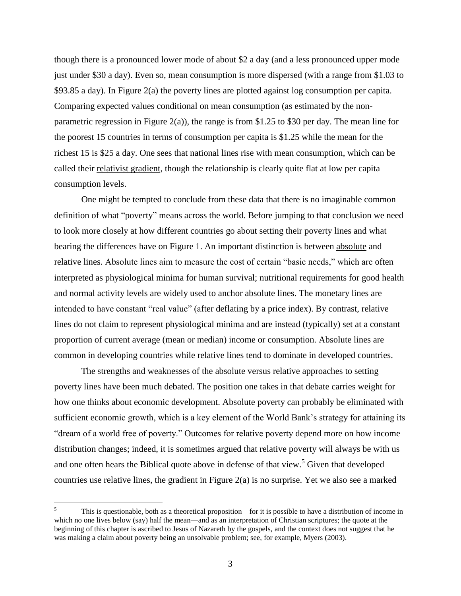though there is a pronounced lower mode of about \$2 a day (and a less pronounced upper mode just under \$30 a day). Even so, mean consumption is more dispersed (with a range from \$1.03 to \$93.85 a day). In Figure 2(a) the poverty lines are plotted against log consumption per capita. Comparing expected values conditional on mean consumption (as estimated by the nonparametric regression in Figure 2(a)), the range is from \$1.25 to \$30 per day. The mean line for the poorest 15 countries in terms of consumption per capita is \$1.25 while the mean for the richest 15 is \$25 a day. One sees that national lines rise with mean consumption, which can be called their relativist gradient, though the relationship is clearly quite flat at low per capita consumption levels.

One might be tempted to conclude from these data that there is no imaginable common definition of what "poverty" means across the world. Before jumping to that conclusion we need to look more closely at how different countries go about setting their poverty lines and what bearing the differences have on Figure 1. An important distinction is between absolute and relative lines. Absolute lines aim to measure the cost of certain "basic needs," which are often interpreted as physiological minima for human survival; nutritional requirements for good health and normal activity levels are widely used to anchor absolute lines. The monetary lines are intended to have constant "real value" (after deflating by a price index). By contrast, relative lines do not claim to represent physiological minima and are instead (typically) set at a constant proportion of current average (mean or median) income or consumption. Absolute lines are common in developing countries while relative lines tend to dominate in developed countries.

The strengths and weaknesses of the absolute versus relative approaches to setting poverty lines have been much debated. The position one takes in that debate carries weight for how one thinks about economic development. Absolute poverty can probably be eliminated with sufficient economic growth, which is a key element of the World Bank's strategy for attaining its "dream of a world free of poverty." Outcomes for relative poverty depend more on how income distribution changes; indeed, it is sometimes argued that relative poverty will always be with us and one often hears the Biblical quote above in defense of that view.<sup>5</sup> Given that developed countries use relative lines, the gradient in Figure 2(a) is no surprise. Yet we also see a marked

 $\overline{a}$ 

<sup>5</sup> This is questionable, both as a theoretical proposition—for it is possible to have a distribution of income in which no one lives below (say) half the mean—and as an interpretation of Christian scriptures; the quote at the beginning of this chapter is ascribed to Jesus of Nazareth by the gospels, and the context does not suggest that he was making a claim about poverty being an unsolvable problem; see, for example, Myers (2003).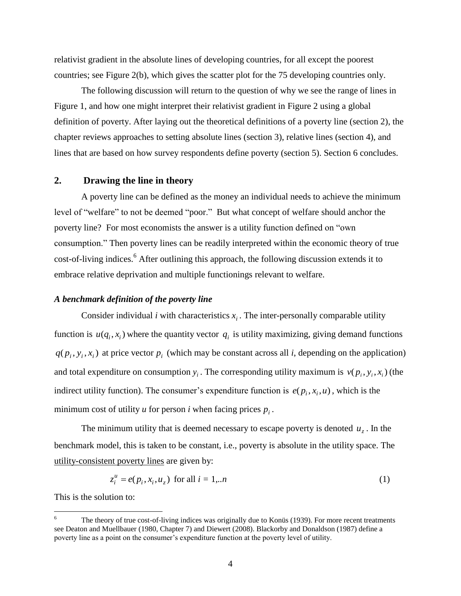relativist gradient in the absolute lines of developing countries, for all except the poorest countries; see Figure 2(b), which gives the scatter plot for the 75 developing countries only.

The following discussion will return to the question of why we see the range of lines in Figure 1, and how one might interpret their relativist gradient in Figure 2 using a global definition of poverty. After laying out the theoretical definitions of a poverty line (section 2), the chapter reviews approaches to setting absolute lines (section 3), relative lines (section 4), and lines that are based on how survey respondents define poverty (section 5). Section 6 concludes.

# **2. Drawing the line in theory**

A poverty line can be defined as the money an individual needs to achieve the minimum level of "welfare" to not be deemed "poor." But what concept of welfare should anchor the poverty line? For most economists the answer is a utility function defined on "own consumption." Then poverty lines can be readily interpreted within the economic theory of true cost-of-living indices.<sup>6</sup> After outlining this approach, the following discussion extends it to embrace relative deprivation and multiple functionings relevant to welfare.

## *A benchmark definition of the poverty line*

Consider individual  $i$  with characteristics  $x_i$ . The inter-personally comparable utility function is  $u(q_i, x_i)$  where the quantity vector  $q_i$  is utility maximizing, giving demand functions  $q(p_i, y_i, x_i)$  at price vector  $p_i$  (which may be constant across all *i*, depending on the application) and total expenditure on consumption  $y_i$ . The corresponding utility maximum is  $v(p_i, y_i, x_i)$  (the indirect utility function). The consumer's expenditure function is  $e(p_i, x_i, u)$ , which is the minimum cost of utility *u* for person *i* when facing prices  $p_i$ .

The minimum utility that is deemed necessary to escape poverty is denoted  $u<sub>z</sub>$ . In the benchmark model, this is taken to be constant, i.e., poverty is absolute in the utility space. The utility-consistent poverty lines are given by:

$$
z_i^u = e(p_i, x_i, u_z) \text{ for all } i = 1...n
$$
 (1)

This is the solution to:

 $\overline{a}$ 

The theory of true cost-of-living indices was originally due to Konüs (1939). For more recent treatments see Deaton and Muellbauer (1980, Chapter 7) and Diewert (2008). Blackorby and Donaldson (1987) define a poverty line as a point on the consumer's expenditure function at the poverty level of utility.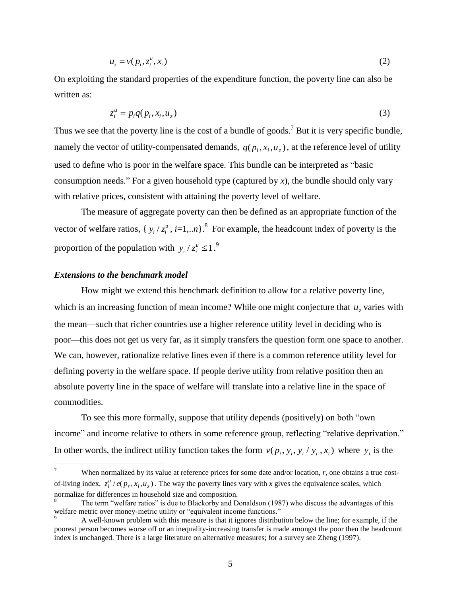$$
u_z = v(p_i, z_i^u, x_i) \tag{2}
$$

On exploiting the standard properties of the expenditure function, the poverty line can also be written as:

$$
z_i^u = p_i q(p_i, x_i, u_z) \tag{3}
$$

Thus we see that the poverty line is the cost of a bundle of goods.<sup>7</sup> But it is very specific bundle, namely the vector of utility-compensated demands,  $q(p_i, x_i, u_z)$ , at the reference level of utility used to define who is poor in the welfare space. This bundle can be interpreted as "basic consumption needs." For a given household type (captured by *x*), the bundle should only vary with relative prices, consistent with attaining the poverty level of welfare.

The measure of aggregate poverty can then be defined as an appropriate function of the vector of welfare ratios,  $\{y_i / z_i^u\}$  $y_i / z_i^u$ , *i*=1,..*n*}.<sup>8</sup> For example, the headcount index of poverty is the proportion of the population with  $y_i / z_i^u \leq 1$  $y_i / z_i^u \leq 1.^9$ 

## *Extensions to the benchmark model*

 $\overline{a}$ 

How might we extend this benchmark definition to allow for a relative poverty line, which is an increasing function of mean income? While one might conjecture that  $u<sub>z</sub>$  varies with the mean—such that richer countries use a higher reference utility level in deciding who is poor—this does not get us very far, as it simply transfers the question form one space to another. We can, however, rationalize relative lines even if there is a common reference utility level for defining poverty in the welfare space. If people derive utility from relative position then an absolute poverty line in the space of welfare will translate into a relative line in the space of commodities.

To see this more formally, suppose that utility depends (positively) on both "own income" and income relative to others in some reference group, reflecting "relative deprivation." In other words, the indirect utility function takes the form  $v(p_i, y_i, y_i / \bar{y}_i, x_i)$  where  $\bar{y}_i$  is the

When normalized by its value at reference prices for some date and/or location, *r*, one obtains a true costof-living index,  $z_i^u$  /e( $p_r$ , $x_i$ , $u_z$ ). The way the poverty lines vary with *x* gives the equivalence scales, which normalize for differences in household size and composition.

The term "welfare ratios" is due to Blackorby and Donaldson (1987) who discuss the advantages of this welfare metric over money-metric utility or "equivalent income functions."

<sup>9</sup> A well-known problem with this measure is that it ignores distribution below the line; for example, if the poorest person becomes worse off or an inequality-increasing transfer is made amongst the poor then the headcount index is unchanged. There is a large literature on alternative measures; for a survey see Zheng (1997).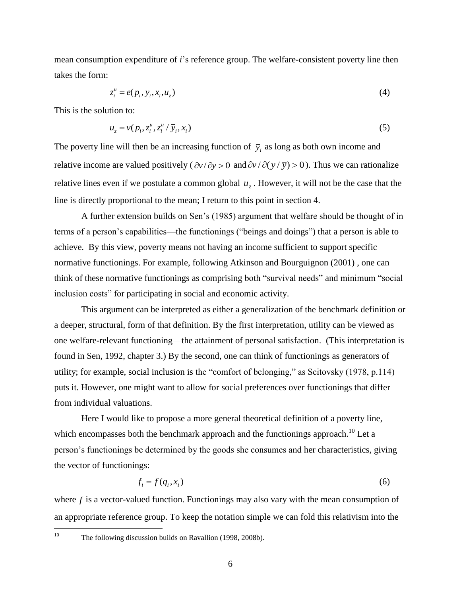mean consumption expenditure of *i*'s reference group. The welfare-consistent poverty line then takes the form:

$$
z_i^u = e(p_i, \overline{y}_i, x_i, u_z) \tag{4}
$$

This is the solution to:

$$
u_z = v(p_i, z_i^u, z_i^u / \bar{y}_i, x_i)
$$
\n
$$
(5)
$$

The poverty line will then be an increasing function of  $\bar{y}_i$  as long as both own income and relative income are valued positively ( $\partial v / \partial y > 0$  and  $\partial v / \partial (y / \bar{y}) > 0$ ). Thus we can rationalize relative lines even if we postulate a common global *uz* . However, it will not be the case that the line is directly proportional to the mean; I return to this point in section 4.

A further extension builds on Sen's (1985) argument that welfare should be thought of in terms of a person's capabilities—the functionings ("beings and doings") that a person is able to achieve. By this view, poverty means not having an income sufficient to support specific normative functionings. For example, following Atkinson and Bourguignon (2001) , one can think of these normative functionings as comprising both "survival needs" and minimum "social inclusion costs" for participating in social and economic activity.

This argument can be interpreted as either a generalization of the benchmark definition or a deeper, structural, form of that definition. By the first interpretation, utility can be viewed as one welfare-relevant functioning—the attainment of personal satisfaction. (This interpretation is found in Sen, 1992, chapter 3.) By the second, one can think of functionings as generators of utility; for example, social inclusion is the "comfort of belonging," as Scitovsky (1978, p.114) puts it. However, one might want to allow for social preferences over functionings that differ from individual valuations.

Here I would like to propose a more general theoretical definition of a poverty line, which encompasses both the benchmark approach and the functionings approach.<sup>10</sup> Let a person's functionings be determined by the goods she consumes and her characteristics, giving the vector of functionings:

$$
f_i = f(q_i, x_i) \tag{6}
$$

where  $f$  is a vector-valued function. Functionings may also vary with the mean consumption of an appropriate reference group. To keep the notation simple we can fold this relativism into the

 $10\,$ The following discussion builds on Ravallion (1998, 2008b).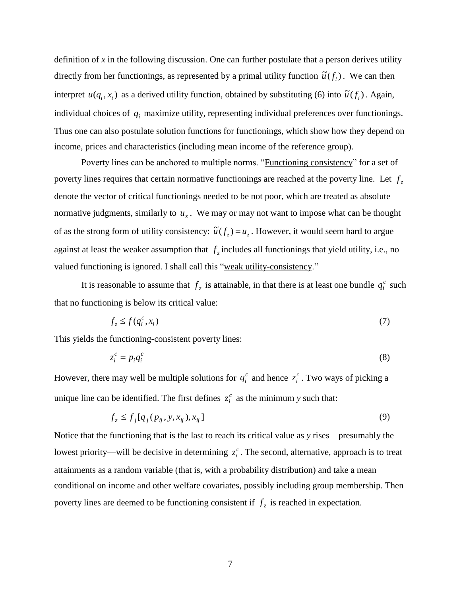definition of *x* in the following discussion. One can further postulate that a person derives utility directly from her functionings, as represented by a primal utility function  $\tilde{u}(f_i)$ . We can then interpret  $u(q_i, x_i)$  as a derived utility function, obtained by substituting (6) into  $\tilde{u}(f_i)$ . Again, individual choices of *qi* maximize utility, representing individual preferences over functionings. Thus one can also postulate solution functions for functionings, which show how they depend on income, prices and characteristics (including mean income of the reference group).

Poverty lines can be anchored to multiple norms. "Functioning consistency" for a set of poverty lines requires that certain normative functionings are reached at the poverty line. Let  $f<sub>z</sub>$ denote the vector of critical functionings needed to be not poor, which are treated as absolute normative judgments, similarly to *uz* . We may or may not want to impose what can be thought of as the strong form of utility consistency:  $\tilde{u}(f_z) = u_z$ . However, it would seem hard to argue against at least the weaker assumption that  $f_z$  includes all functionings that yield utility, i.e., no valued functioning is ignored. I shall call this "weak utility-consistency."

It is reasonable to assume that  $f_z$  is attainable, in that there is at least one bundle  $q_i^c$  such that no functioning is below its critical value:

$$
f_z \le f(q_i^c, x_i) \tag{7}
$$

This yields the functioning-consistent poverty lines:

$$
z_i^c = p_i q_i^c \tag{8}
$$

However, there may well be multiple solutions for  $q_i^c$  and hence  $z_i^c$ *i z* . Two ways of picking a unique line can be identified. The first defines  $z_i^c$  $z_i^c$  as the minimum *y* such that:

$$
f_z \le f_j[q_j(p_{ij}, y, x_{ij}), x_{ij}] \tag{9}
$$

Notice that the functioning that is the last to reach its critical value as *y* rises—presumably the lowest priority—will be decisive in determining  $z_i^c$ *i z* . The second, alternative, approach is to treat attainments as a random variable (that is, with a probability distribution) and take a mean conditional on income and other welfare covariates, possibly including group membership. Then poverty lines are deemed to be functioning consistent if  $f<sub>z</sub>$  is reached in expectation.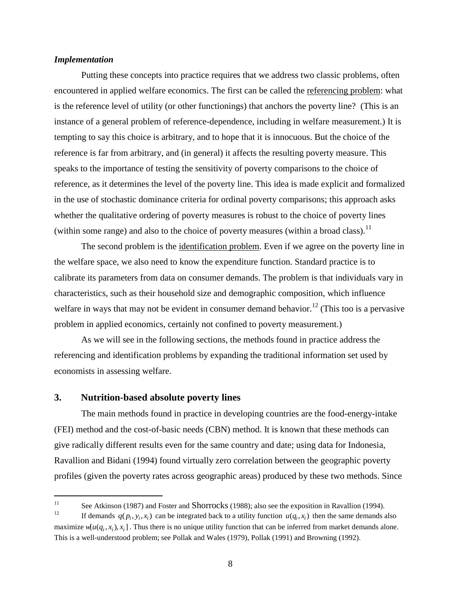#### *Implementation*

Putting these concepts into practice requires that we address two classic problems, often encountered in applied welfare economics. The first can be called the referencing problem: what is the reference level of utility (or other functionings) that anchors the poverty line? (This is an instance of a general problem of reference-dependence, including in welfare measurement.) It is tempting to say this choice is arbitrary, and to hope that it is innocuous. But the choice of the reference is far from arbitrary, and (in general) it affects the resulting poverty measure. This speaks to the importance of testing the sensitivity of poverty comparisons to the choice of reference, as it determines the level of the poverty line. This idea is made explicit and formalized in the use of stochastic dominance criteria for ordinal poverty comparisons; this approach asks whether the qualitative ordering of poverty measures is robust to the choice of poverty lines (within some range) and also to the choice of poverty measures (within a broad class).<sup>11</sup>

The second problem is the identification problem. Even if we agree on the poverty line in the welfare space, we also need to know the expenditure function. Standard practice is to calibrate its parameters from data on consumer demands. The problem is that individuals vary in characteristics, such as their household size and demographic composition, which influence welfare in ways that may not be evident in consumer demand behavior.<sup>12</sup> (This too is a pervasive problem in applied economics, certainly not confined to poverty measurement.)

As we will see in the following sections, the methods found in practice address the referencing and identification problems by expanding the traditional information set used by economists in assessing welfare.

# **3. Nutrition-based absolute poverty lines**

 $\overline{a}$ 

The main methods found in practice in developing countries are the food-energy-intake (FEI) method and the cost-of-basic needs (CBN) method. It is known that these methods can give radically different results even for the same country and date; using data for Indonesia, Ravallion and Bidani (1994) found virtually zero correlation between the geographic poverty profiles (given the poverty rates across geographic areas) produced by these two methods. Since

<sup>&</sup>lt;sup>11</sup> See Atkinson (1987) and Foster and Shorrocks (1988); also see the exposition in Ravallion (1994).

<sup>&</sup>lt;sup>12</sup> If demands  $q(p_i, y_i, x_i)$  can be integrated back to a utility function  $u(q_i, x_i)$  then the same demands also maximize  $w[u(q_i, x_i), x_i]$ . Thus there is no unique utility function that can be inferred from market demands alone. This is a well-understood problem; see Pollak and Wales (1979), Pollak (1991) and Browning (1992).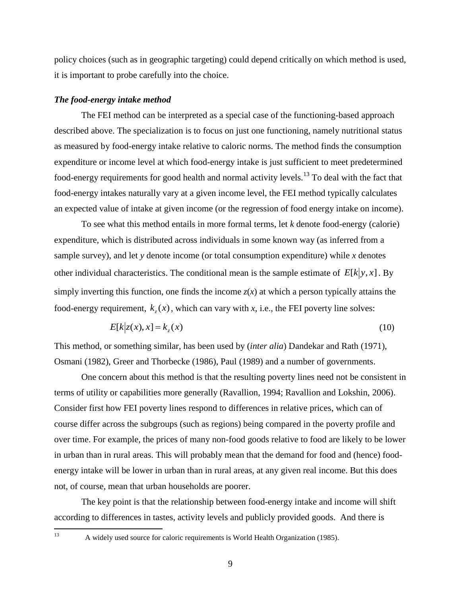policy choices (such as in geographic targeting) could depend critically on which method is used, it is important to probe carefully into the choice.

#### *The food-energy intake method*

The FEI method can be interpreted as a special case of the functioning-based approach described above. The specialization is to focus on just one functioning, namely nutritional status as measured by food-energy intake relative to caloric norms. The method finds the consumption expenditure or income level at which food-energy intake is just sufficient to meet predetermined food-energy requirements for good health and normal activity levels.<sup>13</sup> To deal with the fact that food-energy intakes naturally vary at a given income level, the FEI method typically calculates an expected value of intake at given income (or the regression of food energy intake on income).

To see what this method entails in more formal terms, let *k* denote food-energy (calorie) expenditure, which is distributed across individuals in some known way (as inferred from a sample survey), and let *y* denote income (or total consumption expenditure) while *x* denotes other individual characteristics. The conditional mean is the sample estimate of  $E[k|y, x]$ . By simply inverting this function, one finds the income  $z(x)$  at which a person typically attains the food-energy requirement,  $k_z(x)$ , which can vary with *x*, i.e., the FEI poverty line solves:

$$
E[k|z(x),x] = k_z(x) \tag{10}
$$

This method, or something similar, has been used by (*inter alia*) Dandekar and Rath (1971), Osmani (1982), Greer and Thorbecke (1986), Paul (1989) and a number of governments.

One concern about this method is that the resulting poverty lines need not be consistent in terms of utility or capabilities more generally (Ravallion, 1994; Ravallion and Lokshin, 2006). Consider first how FEI poverty lines respond to differences in relative prices, which can of course differ across the subgroups (such as regions) being compared in the poverty profile and over time. For example, the prices of many non-food goods relative to food are likely to be lower in urban than in rural areas. This will probably mean that the demand for food and (hence) foodenergy intake will be lower in urban than in rural areas, at any given real income. But this does not, of course, mean that urban households are poorer.

The key point is that the relationship between food-energy intake and income will shift according to differences in tastes, activity levels and publicly provided goods. And there is

<sup>13</sup>

A widely used source for caloric requirements is World Health Organization (1985).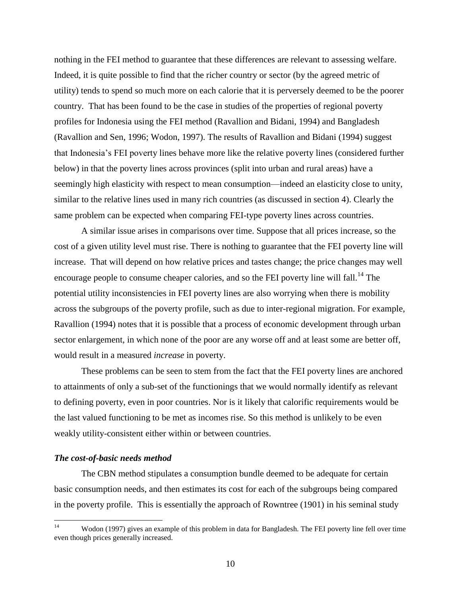nothing in the FEI method to guarantee that these differences are relevant to assessing welfare. Indeed, it is quite possible to find that the richer country or sector (by the agreed metric of utility) tends to spend so much more on each calorie that it is perversely deemed to be the poorer country. That has been found to be the case in studies of the properties of regional poverty profiles for Indonesia using the FEI method (Ravallion and Bidani, 1994) and Bangladesh (Ravallion and Sen, 1996; Wodon, 1997). The results of Ravallion and Bidani (1994) suggest that Indonesia's FEI poverty lines behave more like the relative poverty lines (considered further below) in that the poverty lines across provinces (split into urban and rural areas) have a seemingly high elasticity with respect to mean consumption—indeed an elasticity close to unity, similar to the relative lines used in many rich countries (as discussed in section 4). Clearly the same problem can be expected when comparing FEI-type poverty lines across countries.

A similar issue arises in comparisons over time. Suppose that all prices increase, so the cost of a given utility level must rise. There is nothing to guarantee that the FEI poverty line will increase. That will depend on how relative prices and tastes change; the price changes may well encourage people to consume cheaper calories, and so the FEI poverty line will fall.<sup>14</sup> The potential utility inconsistencies in FEI poverty lines are also worrying when there is mobility across the subgroups of the poverty profile, such as due to inter-regional migration. For example, Ravallion (1994) notes that it is possible that a process of economic development through urban sector enlargement, in which none of the poor are any worse off and at least some are better off, would result in a measured *increase* in poverty.

These problems can be seen to stem from the fact that the FEI poverty lines are anchored to attainments of only a sub-set of the functionings that we would normally identify as relevant to defining poverty, even in poor countries. Nor is it likely that calorific requirements would be the last valued functioning to be met as incomes rise. So this method is unlikely to be even weakly utility-consistent either within or between countries.

#### *The cost-of-basic needs method*

The CBN method stipulates a consumption bundle deemed to be adequate for certain basic consumption needs, and then estimates its cost for each of the subgroups being compared in the poverty profile. This is essentially the approach of Rowntree (1901) in his seminal study

 $14$ Wodon (1997) gives an example of this problem in data for Bangladesh. The FEI poverty line fell over time even though prices generally increased.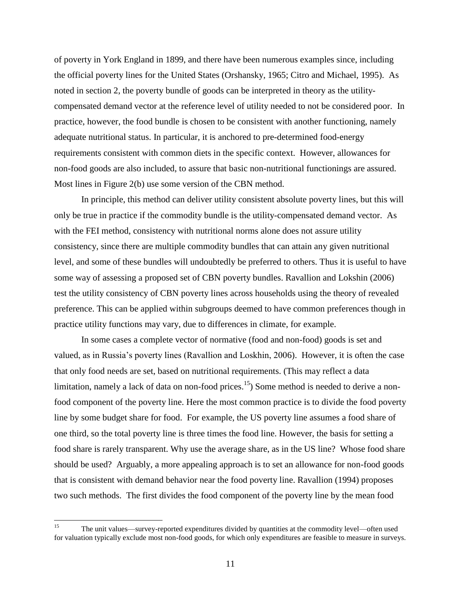of poverty in York England in 1899, and there have been numerous examples since, including the official poverty lines for the United States (Orshansky, 1965; Citro and Michael, 1995). As noted in section 2, the poverty bundle of goods can be interpreted in theory as the utilitycompensated demand vector at the reference level of utility needed to not be considered poor. In practice, however, the food bundle is chosen to be consistent with another functioning, namely adequate nutritional status. In particular, it is anchored to pre-determined food-energy requirements consistent with common diets in the specific context. However, allowances for non-food goods are also included, to assure that basic non-nutritional functionings are assured. Most lines in Figure 2(b) use some version of the CBN method.

In principle, this method can deliver utility consistent absolute poverty lines, but this will only be true in practice if the commodity bundle is the utility-compensated demand vector. As with the FEI method, consistency with nutritional norms alone does not assure utility consistency, since there are multiple commodity bundles that can attain any given nutritional level, and some of these bundles will undoubtedly be preferred to others. Thus it is useful to have some way of assessing a proposed set of CBN poverty bundles. Ravallion and Lokshin (2006) test the utility consistency of CBN poverty lines across households using the theory of revealed preference. This can be applied within subgroups deemed to have common preferences though in practice utility functions may vary, due to differences in climate, for example.

In some cases a complete vector of normative (food and non-food) goods is set and valued, as in Russia's poverty lines (Ravallion and Loskhin, 2006). However, it is often the case that only food needs are set, based on nutritional requirements. (This may reflect a data limitation, namely a lack of data on non-food prices.<sup>15</sup>) Some method is needed to derive a nonfood component of the poverty line. Here the most common practice is to divide the food poverty line by some budget share for food. For example, the US poverty line assumes a food share of one third, so the total poverty line is three times the food line. However, the basis for setting a food share is rarely transparent. Why use the average share, as in the US line? Whose food share should be used? Arguably, a more appealing approach is to set an allowance for non-food goods that is consistent with demand behavior near the food poverty line. Ravallion (1994) proposes two such methods. The first divides the food component of the poverty line by the mean food

 $15<sup>15</sup>$ <sup>15</sup> The unit values—survey-reported expenditures divided by quantities at the commodity level—often used for valuation typically exclude most non-food goods, for which only expenditures are feasible to measure in surveys.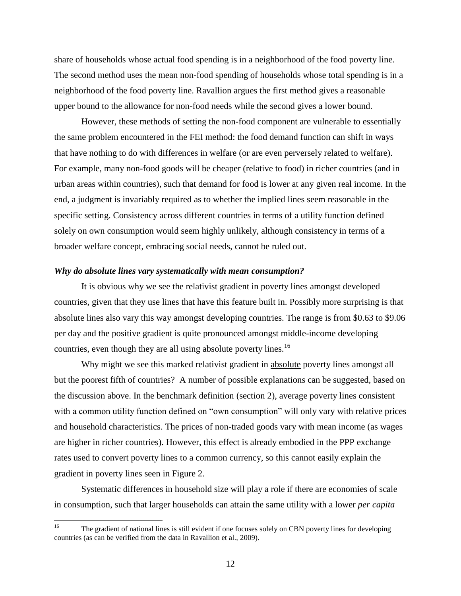share of households whose actual food spending is in a neighborhood of the food poverty line. The second method uses the mean non-food spending of households whose total spending is in a neighborhood of the food poverty line. Ravallion argues the first method gives a reasonable upper bound to the allowance for non-food needs while the second gives a lower bound.

However, these methods of setting the non-food component are vulnerable to essentially the same problem encountered in the FEI method: the food demand function can shift in ways that have nothing to do with differences in welfare (or are even perversely related to welfare). For example, many non-food goods will be cheaper (relative to food) in richer countries (and in urban areas within countries), such that demand for food is lower at any given real income. In the end, a judgment is invariably required as to whether the implied lines seem reasonable in the specific setting. Consistency across different countries in terms of a utility function defined solely on own consumption would seem highly unlikely, although consistency in terms of a broader welfare concept, embracing social needs, cannot be ruled out.

#### *Why do absolute lines vary systematically with mean consumption?*

It is obvious why we see the relativist gradient in poverty lines amongst developed countries, given that they use lines that have this feature built in. Possibly more surprising is that absolute lines also vary this way amongst developing countries. The range is from \$0.63 to \$9.06 per day and the positive gradient is quite pronounced amongst middle-income developing countries, even though they are all using absolute poverty lines.<sup>16</sup>

Why might we see this marked relativist gradient in absolute poverty lines amongst all but the poorest fifth of countries? A number of possible explanations can be suggested, based on the discussion above. In the benchmark definition (section 2), average poverty lines consistent with a common utility function defined on "own consumption" will only vary with relative prices and household characteristics. The prices of non-traded goods vary with mean income (as wages are higher in richer countries). However, this effect is already embodied in the PPP exchange rates used to convert poverty lines to a common currency, so this cannot easily explain the gradient in poverty lines seen in Figure 2.

Systematic differences in household size will play a role if there are economies of scale in consumption, such that larger households can attain the same utility with a lower *per capita*

 $16^{1}$ <sup>16</sup> The gradient of national lines is still evident if one focuses solely on CBN poverty lines for developing countries (as can be verified from the data in Ravallion et al., 2009).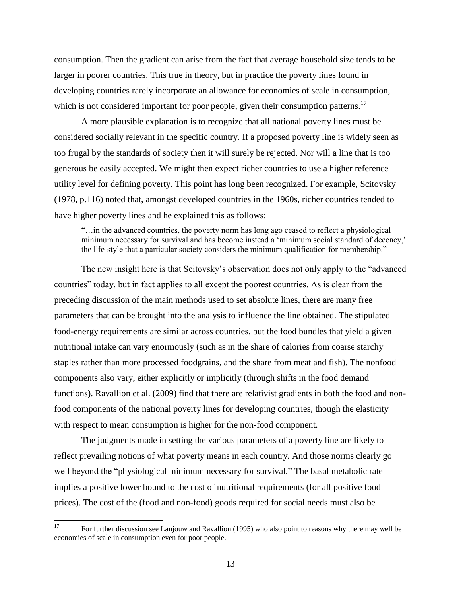consumption. Then the gradient can arise from the fact that average household size tends to be larger in poorer countries. This true in theory, but in practice the poverty lines found in developing countries rarely incorporate an allowance for economies of scale in consumption, which is not considered important for poor people, given their consumption patterns.<sup>17</sup>

A more plausible explanation is to recognize that all national poverty lines must be considered socially relevant in the specific country. If a proposed poverty line is widely seen as too frugal by the standards of society then it will surely be rejected. Nor will a line that is too generous be easily accepted. We might then expect richer countries to use a higher reference utility level for defining poverty. This point has long been recognized. For example, Scitovsky (1978, p.116) noted that, amongst developed countries in the 1960s, richer countries tended to have higher poverty lines and he explained this as follows:

"…in the advanced countries, the poverty norm has long ago ceased to reflect a physiological minimum necessary for survival and has become instead a 'minimum social standard of decency,' the life-style that a particular society considers the minimum qualification for membership."

The new insight here is that Scitovsky's observation does not only apply to the "advanced countries" today, but in fact applies to all except the poorest countries. As is clear from the preceding discussion of the main methods used to set absolute lines, there are many free parameters that can be brought into the analysis to influence the line obtained. The stipulated food-energy requirements are similar across countries, but the food bundles that yield a given nutritional intake can vary enormously (such as in the share of calories from coarse starchy staples rather than more processed foodgrains, and the share from meat and fish). The nonfood components also vary, either explicitly or implicitly (through shifts in the food demand functions). Ravallion et al. (2009) find that there are relativist gradients in both the food and nonfood components of the national poverty lines for developing countries, though the elasticity with respect to mean consumption is higher for the non-food component.

The judgments made in setting the various parameters of a poverty line are likely to reflect prevailing notions of what poverty means in each country. And those norms clearly go well beyond the "physiological minimum necessary for survival." The basal metabolic rate implies a positive lower bound to the cost of nutritional requirements (for all positive food prices). The cost of the (food and non-food) goods required for social needs must also be

 $17$ <sup>17</sup> For further discussion see Lanjouw and Ravallion (1995) who also point to reasons why there may well be economies of scale in consumption even for poor people.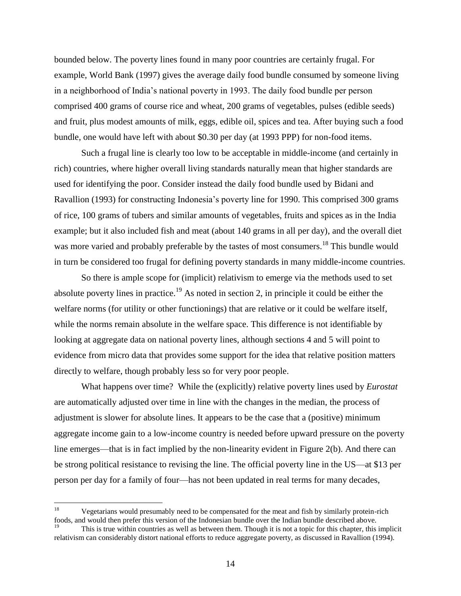bounded below. The poverty lines found in many poor countries are certainly frugal. For example, World Bank (1997) gives the average daily food bundle consumed by someone living in a neighborhood of India's national poverty in 1993. The daily food bundle per person comprised 400 grams of course rice and wheat, 200 grams of vegetables, pulses (edible seeds) and fruit, plus modest amounts of milk, eggs, edible oil, spices and tea. After buying such a food bundle, one would have left with about \$0.30 per day (at 1993 PPP) for non-food items.

Such a frugal line is clearly too low to be acceptable in middle-income (and certainly in rich) countries, where higher overall living standards naturally mean that higher standards are used for identifying the poor. Consider instead the daily food bundle used by Bidani and Ravallion (1993) for constructing Indonesia's poverty line for 1990. This comprised 300 grams of rice, 100 grams of tubers and similar amounts of vegetables, fruits and spices as in the India example; but it also included fish and meat (about 140 grams in all per day), and the overall diet was more varied and probably preferable by the tastes of most consumers.<sup>18</sup> This bundle would in turn be considered too frugal for defining poverty standards in many middle-income countries.

So there is ample scope for (implicit) relativism to emerge via the methods used to set absolute poverty lines in practice.<sup>19</sup> As noted in section 2, in principle it could be either the welfare norms (for utility or other functionings) that are relative or it could be welfare itself, while the norms remain absolute in the welfare space. This difference is not identifiable by looking at aggregate data on national poverty lines, although sections 4 and 5 will point to evidence from micro data that provides some support for the idea that relative position matters directly to welfare, though probably less so for very poor people.

What happens over time? While the (explicitly) relative poverty lines used by *Eurostat* are automatically adjusted over time in line with the changes in the median, the process of adjustment is slower for absolute lines. It appears to be the case that a (positive) minimum aggregate income gain to a low-income country is needed before upward pressure on the poverty line emerges—that is in fact implied by the non-linearity evident in Figure 2(b). And there can be strong political resistance to revising the line. The official poverty line in the US—at \$13 per person per day for a family of four—has not been updated in real terms for many decades,

 $18\,$ <sup>18</sup> Vegetarians would presumably need to be compensated for the meat and fish by similarly protein-rich foods, and would then prefer this version of the Indonesian bundle over the Indian bundle described above. <sup>19</sup> This is true within countries as well as between them. Though it is not a topic for this chapter, this implicit

relativism can considerably distort national efforts to reduce aggregate poverty, as discussed in Ravallion (1994).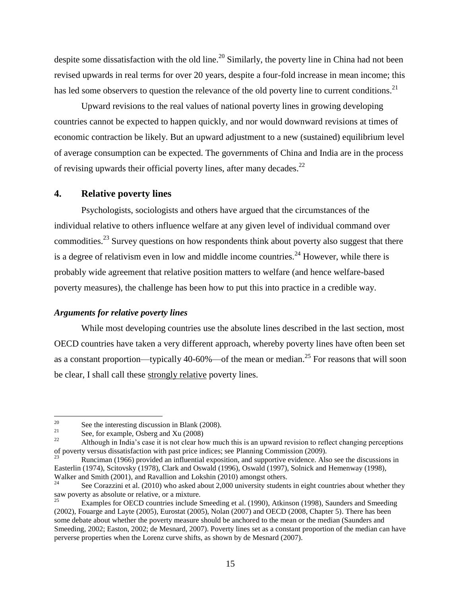despite some dissatisfaction with the old line.<sup>20</sup> Similarly, the poverty line in China had not been revised upwards in real terms for over 20 years, despite a four-fold increase in mean income; this has led some observers to question the relevance of the old poverty line to current conditions.<sup>21</sup>

Upward revisions to the real values of national poverty lines in growing developing countries cannot be expected to happen quickly, and nor would downward revisions at times of economic contraction be likely. But an upward adjustment to a new (sustained) equilibrium level of average consumption can be expected. The governments of China and India are in the process of revising upwards their official poverty lines, after many decades.<sup>22</sup>

# **4. Relative poverty lines**

Psychologists, sociologists and others have argued that the circumstances of the individual relative to others influence welfare at any given level of individual command over commodities.<sup>23</sup> Survey questions on how respondents think about poverty also suggest that there is a degree of relativism even in low and middle income countries.<sup>24</sup> However, while there is probably wide agreement that relative position matters to welfare (and hence welfare-based poverty measures), the challenge has been how to put this into practice in a credible way.

## *Arguments for relative poverty lines*

While most developing countries use the absolute lines described in the last section, most OECD countries have taken a very different approach, whereby poverty lines have often been set as a constant proportion—typically 40-60%—of the mean or median.<sup>25</sup> For reasons that will soon be clear, I shall call these strongly relative poverty lines.

<sup>20</sup> <sup>20</sup> See the interesting discussion in Blank (2008).<br>
<sup>21</sup> See for argumple Osbors and  $Y_U(2008)$ .

<sup>&</sup>lt;sup>21</sup> See, for example, Osberg and Xu (2008)

<sup>22</sup> Although in India's case it is not clear how much this is an upward revision to reflect changing perceptions of poverty versus dissatisfaction with past price indices; see Planning Commission (2009).

<sup>23</sup> Runciman (1966) provided an influential exposition, and supportive evidence. Also see the discussions in Easterlin (1974), Scitovsky (1978), Clark and Oswald (1996), Oswald (1997), Solnick and Hemenway (1998), Walker and Smith (2001), and Ravallion and Lokshin (2010) amongst others.

See Corazzini et al. (2010) who asked about 2,000 university students in eight countries about whether they saw poverty as absolute or relative, or a mixture.

<sup>25</sup> Examples for OECD countries include Smeeding et al. (1990), Atkinson (1998), Saunders and Smeeding (2002), Fouarge and Layte (2005), Eurostat (2005), Nolan (2007) and OECD (2008, Chapter 5). There has been some debate about whether the poverty measure should be anchored to the mean or the median (Saunders and Smeeding, 2002; Easton, 2002; de Mesnard, 2007). Poverty lines set as a constant proportion of the median can have perverse properties when the Lorenz curve shifts, as shown by de Mesnard (2007).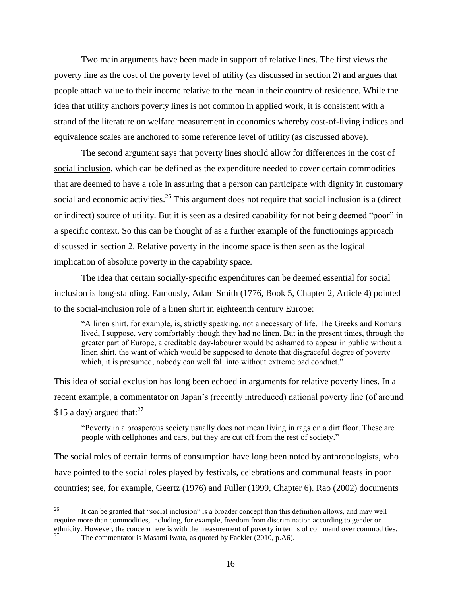Two main arguments have been made in support of relative lines. The first views the poverty line as the cost of the poverty level of utility (as discussed in section 2) and argues that people attach value to their income relative to the mean in their country of residence. While the idea that utility anchors poverty lines is not common in applied work, it is consistent with a strand of the literature on welfare measurement in economics whereby cost-of-living indices and equivalence scales are anchored to some reference level of utility (as discussed above).

The second argument says that poverty lines should allow for differences in the cost of social inclusion, which can be defined as the expenditure needed to cover certain commodities that are deemed to have a role in assuring that a person can participate with dignity in customary social and economic activities.<sup>26</sup> This argument does not require that social inclusion is a (direct or indirect) source of utility. But it is seen as a desired capability for not being deemed "poor" in a specific context. So this can be thought of as a further example of the functionings approach discussed in section 2. Relative poverty in the income space is then seen as the logical implication of absolute poverty in the capability space.

The idea that certain socially-specific expenditures can be deemed essential for social inclusion is long-standing. Famously, Adam Smith (1776, Book 5, Chapter 2, Article 4) pointed to the social-inclusion role of a linen shirt in eighteenth century Europe:

"A linen shirt, for example, is, strictly speaking, not a necessary of life. The Greeks and Romans lived, I suppose, very comfortably though they had no linen. But in the present times, through the greater part of Europe, a creditable day-labourer would be ashamed to appear in public without a linen shirt, the want of which would be supposed to denote that disgraceful degree of poverty which, it is presumed, nobody can well fall into without extreme bad conduct."

This idea of social exclusion has long been echoed in arguments for relative poverty lines. In a recent example, a commentator on Japan's (recently introduced) national poverty line (of around \$15 a day) argued that:  $27$ 

"Poverty in a prosperous society usually does not mean living in rags on a dirt floor. These are people with cellphones and cars, but they are cut off from the rest of society."

The social roles of certain forms of consumption have long been noted by anthropologists, who have pointed to the social roles played by festivals, celebrations and communal feasts in poor countries; see, for example, Geertz (1976) and Fuller (1999, Chapter 6). Rao (2002) documents

 $26\,$ <sup>26</sup> It can be granted that "social inclusion" is a broader concept than this definition allows, and may well require more than commodities, including, for example, freedom from discrimination according to gender or ethnicity. However, the concern here is with the measurement of poverty in terms of command over commodities.

The commentator is Masami Iwata, as quoted by Fackler (2010, p.A6).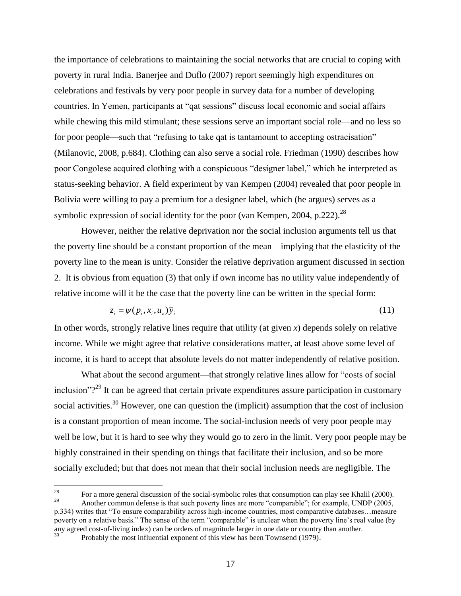the importance of celebrations to maintaining the social networks that are crucial to coping with poverty in rural India. Banerjee and Duflo (2007) report seemingly high expenditures on celebrations and festivals by very poor people in survey data for a number of developing countries. In Yemen, participants at "qat sessions" discuss local economic and social affairs while chewing this mild stimulant; these sessions serve an important social role—and no less so for poor people—such that "refusing to take qat is tantamount to accepting ostracisation" (Milanovic, 2008, p.684). Clothing can also serve a social role. Friedman (1990) describes how poor Congolese acquired clothing with a conspicuous "designer label," which he interpreted as status-seeking behavior. A field experiment by van Kempen (2004) revealed that poor people in Bolivia were willing to pay a premium for a designer label, which (he argues) serves as a symbolic expression of social identity for the poor (van Kempen, 2004, p.222).<sup>28</sup>

However, neither the relative deprivation nor the social inclusion arguments tell us that the poverty line should be a constant proportion of the mean—implying that the elasticity of the poverty line to the mean is unity. Consider the relative deprivation argument discussed in section 2. It is obvious from equation (3) that only if own income has no utility value independently of relative income will it be the case that the poverty line can be written in the special form:

$$
z_i = \psi(p_i, x_i, u_z) \bar{y}_i \tag{11}
$$

In other words, strongly relative lines require that utility (at given *x*) depends solely on relative income. While we might agree that relative considerations matter, at least above some level of income, it is hard to accept that absolute levels do not matter independently of relative position.

What about the second argument—that strongly relative lines allow for "costs of social inclusion"?<sup>29</sup> It can be agreed that certain private expenditures assure participation in customary social activities.<sup>30</sup> However, one can question the (implicit) assumption that the cost of inclusion is a constant proportion of mean income. The social-inclusion needs of very poor people may well be low, but it is hard to see why they would go to zero in the limit. Very poor people may be highly constrained in their spending on things that facilitate their inclusion, and so be more socially excluded; but that does not mean that their social inclusion needs are negligible. The

<sup>28</sup> <sup>28</sup> For a more general discussion of the social-symbolic roles that consumption can play see Khalil (2000). <sup>29</sup> Another common defense is that such poverty lines are more "comparable"; for example, UNDP (2005, p.334) writes that "To ensure comparability across high-income countries, most comparative databases…measure poverty on a relative basis." The sense of the term "comparable" is unclear when the poverty line's real value (by any agreed cost-of-living index) can be orders of magnitude larger in one date or country than another.

Probably the most influential exponent of this view has been Townsend (1979).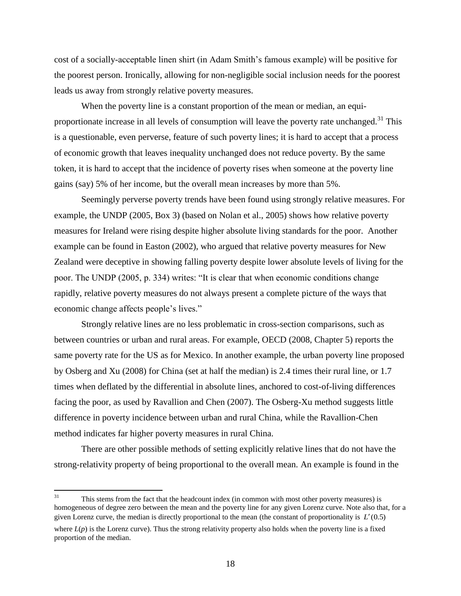cost of a socially-acceptable linen shirt (in Adam Smith's famous example) will be positive for the poorest person. Ironically, allowing for non-negligible social inclusion needs for the poorest leads us away from strongly relative poverty measures.

When the poverty line is a constant proportion of the mean or median, an equiproportionate increase in all levels of consumption will leave the poverty rate unchanged.<sup>31</sup> This is a questionable, even perverse, feature of such poverty lines; it is hard to accept that a process of economic growth that leaves inequality unchanged does not reduce poverty. By the same token, it is hard to accept that the incidence of poverty rises when someone at the poverty line gains (say) 5% of her income, but the overall mean increases by more than 5%.

Seemingly perverse poverty trends have been found using strongly relative measures. For example, the UNDP (2005, Box 3) (based on Nolan et al., 2005) shows how relative poverty measures for Ireland were rising despite higher absolute living standards for the poor. Another example can be found in Easton (2002), who argued that relative poverty measures for New Zealand were deceptive in showing falling poverty despite lower absolute levels of living for the poor. The UNDP (2005, p. 334) writes: "It is clear that when economic conditions change rapidly, relative poverty measures do not always present a complete picture of the ways that economic change affects people's lives."

Strongly relative lines are no less problematic in cross-section comparisons, such as between countries or urban and rural areas. For example, OECD (2008, Chapter 5) reports the same poverty rate for the US as for Mexico. In another example, the urban poverty line proposed by Osberg and Xu (2008) for China (set at half the median) is 2.4 times their rural line, or 1.7 times when deflated by the differential in absolute lines, anchored to cost-of-living differences facing the poor, as used by Ravallion and Chen (2007). The Osberg-Xu method suggests little difference in poverty incidence between urban and rural China, while the Ravallion-Chen method indicates far higher poverty measures in rural China.

There are other possible methods of setting explicitly relative lines that do not have the strong-relativity property of being proportional to the overall mean. An example is found in the

 $31$ This stems from the fact that the headcount index (in common with most other poverty measures) is homogeneous of degree zero between the mean and the poverty line for any given Lorenz curve. Note also that, for a given Lorenz curve, the median is directly proportional to the mean (the constant of proportionality is  $L'(0.5)$ 

where  $L(p)$  is the Lorenz curve). Thus the strong relativity property also holds when the poverty line is a fixed proportion of the median.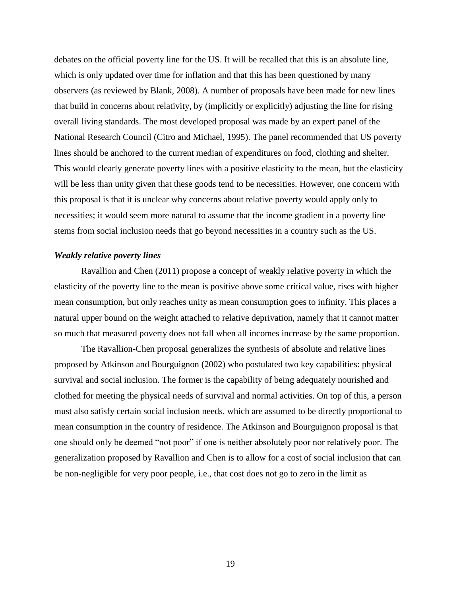debates on the official poverty line for the US. It will be recalled that this is an absolute line, which is only updated over time for inflation and that this has been questioned by many observers (as reviewed by Blank, 2008). A number of proposals have been made for new lines that build in concerns about relativity, by (implicitly or explicitly) adjusting the line for rising overall living standards. The most developed proposal was made by an expert panel of the National Research Council (Citro and Michael, 1995). The panel recommended that US poverty lines should be anchored to the current median of expenditures on food, clothing and shelter. This would clearly generate poverty lines with a positive elasticity to the mean, but the elasticity will be less than unity given that these goods tend to be necessities. However, one concern with this proposal is that it is unclear why concerns about relative poverty would apply only to necessities; it would seem more natural to assume that the income gradient in a poverty line stems from social inclusion needs that go beyond necessities in a country such as the US.

#### *Weakly relative poverty lines*

Ravallion and Chen (2011) propose a concept of weakly relative poverty in which the elasticity of the poverty line to the mean is positive above some critical value, rises with higher mean consumption, but only reaches unity as mean consumption goes to infinity. This places a natural upper bound on the weight attached to relative deprivation, namely that it cannot matter so much that measured poverty does not fall when all incomes increase by the same proportion.

The Ravallion-Chen proposal generalizes the synthesis of absolute and relative lines proposed by Atkinson and Bourguignon (2002) who postulated two key capabilities: physical survival and social inclusion. The former is the capability of being adequately nourished and clothed for meeting the physical needs of survival and normal activities. On top of this, a person must also satisfy certain social inclusion needs, which are assumed to be directly proportional to mean consumption in the country of residence. The Atkinson and Bourguignon proposal is that one should only be deemed "not poor" if one is neither absolutely poor nor relatively poor. The generalization proposed by Ravallion and Chen is to allow for a cost of social inclusion that can be non-negligible for very poor people, i.e., that cost does not go to zero in the limit as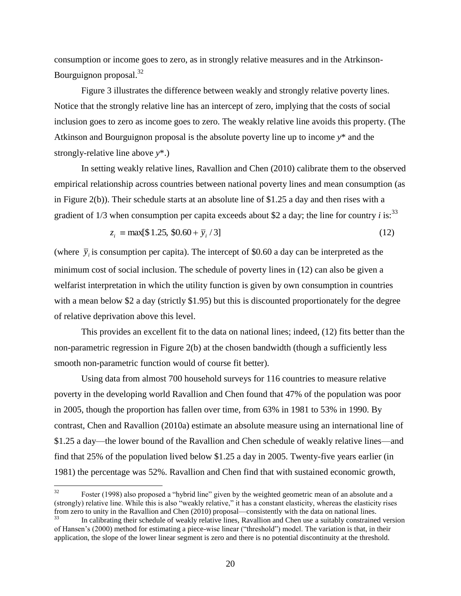consumption or income goes to zero, as in strongly relative measures and in the Atrkinson-Bourguignon proposal.<sup>32</sup>

Figure 3 illustrates the difference between weakly and strongly relative poverty lines. Notice that the strongly relative line has an intercept of zero, implying that the costs of social inclusion goes to zero as income goes to zero. The weakly relative line avoids this property. (The Atkinson and Bourguignon proposal is the absolute poverty line up to income *y*\* and the strongly-relative line above *y*\*.)

In setting weakly relative lines, Ravallion and Chen (2010) calibrate them to the observed empirical relationship across countries between national poverty lines and mean consumption (as in Figure 2(b)). Their schedule starts at an absolute line of \$1.25 a day and then rises with a gradient of  $1/3$  when consumption per capita exceeds about \$2 a day; the line for country *i* is:<sup>33</sup>

$$
z_i = \max[\$1.25, \$0.60 + \bar{y}_i / 3]
$$
\n(12)

(where  $\bar{y}_i$  is consumption per capita). The intercept of \$0.60 a day can be interpreted as the minimum cost of social inclusion. The schedule of poverty lines in (12) can also be given a welfarist interpretation in which the utility function is given by own consumption in countries with a mean below \$2 a day (strictly \$1.95) but this is discounted proportionately for the degree of relative deprivation above this level.

This provides an excellent fit to the data on national lines; indeed, (12) fits better than the non-parametric regression in Figure 2(b) at the chosen bandwidth (though a sufficiently less smooth non-parametric function would of course fit better).

Using data from almost 700 household surveys for 116 countries to measure relative poverty in the developing world Ravallion and Chen found that 47% of the population was poor in 2005, though the proportion has fallen over time, from 63% in 1981 to 53% in 1990. By contrast, Chen and Ravallion (2010a) estimate an absolute measure using an international line of \$1.25 a day—the lower bound of the Ravallion and Chen schedule of weakly relative lines—and find that 25% of the population lived below \$1.25 a day in 2005. Twenty-five years earlier (in 1981) the percentage was 52%. Ravallion and Chen find that with sustained economic growth,

 $32$ Foster (1998) also proposed a "hybrid line" given by the weighted geometric mean of an absolute and a (strongly) relative line. While this is also "weakly relative," it has a constant elasticity, whereas the elasticity rises from zero to unity in the Ravallion and Chen (2010) proposal—consistently with the data on national lines.

In calibrating their schedule of weakly relative lines, Ravallion and Chen use a suitably constrained version of Hansen's (2000) method for estimating a piece-wise linear ("threshold") model. The variation is that, in their application, the slope of the lower linear segment is zero and there is no potential discontinuity at the threshold.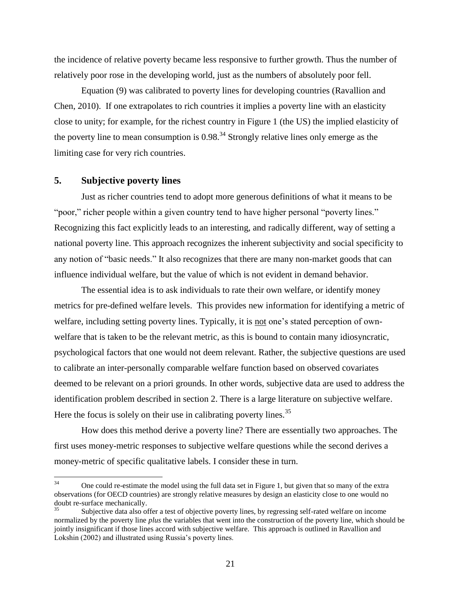the incidence of relative poverty became less responsive to further growth. Thus the number of relatively poor rose in the developing world, just as the numbers of absolutely poor fell.

Equation (9) was calibrated to poverty lines for developing countries (Ravallion and Chen, 2010). If one extrapolates to rich countries it implies a poverty line with an elasticity close to unity; for example, for the richest country in Figure 1 (the US) the implied elasticity of the poverty line to mean consumption is  $0.98<sup>34</sup>$  Strongly relative lines only emerge as the limiting case for very rich countries.

# **5. Subjective poverty lines**

Just as richer countries tend to adopt more generous definitions of what it means to be "poor," richer people within a given country tend to have higher personal "poverty lines." Recognizing this fact explicitly leads to an interesting, and radically different, way of setting a national poverty line. This approach recognizes the inherent subjectivity and social specificity to any notion of "basic needs." It also recognizes that there are many non-market goods that can influence individual welfare, but the value of which is not evident in demand behavior.

The essential idea is to ask individuals to rate their own welfare, or identify money metrics for pre-defined welfare levels. This provides new information for identifying a metric of welfare, including setting poverty lines. Typically, it is not one's stated perception of ownwelfare that is taken to be the relevant metric, as this is bound to contain many idiosyncratic, psychological factors that one would not deem relevant. Rather, the subjective questions are used to calibrate an inter-personally comparable welfare function based on observed covariates deemed to be relevant on a priori grounds. In other words, subjective data are used to address the identification problem described in section 2. There is a large literature on subjective welfare. Here the focus is solely on their use in calibrating poverty lines.<sup>35</sup>

How does this method derive a poverty line? There are essentially two approaches. The first uses money-metric responses to subjective welfare questions while the second derives a money-metric of specific qualitative labels. I consider these in turn.

 $34$ <sup>34</sup> One could re-estimate the model using the full data set in Figure 1, but given that so many of the extra observations (for OECD countries) are strongly relative measures by design an elasticity close to one would no doubt re-surface mechanically.

<sup>35</sup> Subjective data also offer a test of objective poverty lines, by regressing self-rated welfare on income normalized by the poverty line *plus* the variables that went into the construction of the poverty line, which should be jointly insignificant if those lines accord with subjective welfare. This approach is outlined in Ravallion and Lokshin (2002) and illustrated using Russia's poverty lines.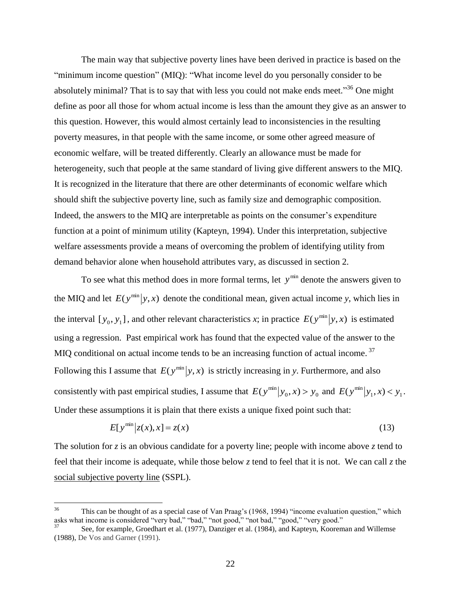The main way that subjective poverty lines have been derived in practice is based on the "minimum income question" (MIQ): "What income level do you personally consider to be absolutely minimal? That is to say that with less you could not make ends meet."<sup>36</sup> One might define as poor all those for whom actual income is less than the amount they give as an answer to this question. However, this would almost certainly lead to inconsistencies in the resulting poverty measures, in that people with the same income, or some other agreed measure of economic welfare, will be treated differently. Clearly an allowance must be made for heterogeneity, such that people at the same standard of living give different answers to the MIQ. It is recognized in the literature that there are other determinants of economic welfare which should shift the subjective poverty line, such as family size and demographic composition. Indeed, the answers to the MIQ are interpretable as points on the consumer's expenditure function at a point of minimum utility (Kapteyn, 1994). Under this interpretation, subjective welfare assessments provide a means of overcoming the problem of identifying utility from demand behavior alone when household attributes vary, as discussed in section 2.

To see what this method does in more formal terms, let  $y^{\text{min}}$  denote the answers given to the MIQ and let  $E(y^{\min}|y, x)$  denote the conditional mean, given actual income *y*, which lies in the interval  $[y_0, y_1]$ , and other relevant characteristics x; in practice  $E(y^{\min}|y, x)$  is estimated using a regression. Past empirical work has found that the expected value of the answer to the MIQ conditional on actual income tends to be an increasing function of actual income.<sup>37</sup> Following this I assume that  $E(y^{min}|y, x)$  is strictly increasing in *y*. Furthermore, and also consistently with past empirical studies, I assume that  $E(y^{\min}|y_0, x) > y_0$  and  $E(y^{\min}|y_1, x) < y_1$ . Under these assumptions it is plain that there exists a unique fixed point such that:

$$
E[y^{\min}|z(x),x] = z(x) \tag{13}
$$

The solution for *z* is an obvious candidate for a poverty line; people with income above *z* tend to feel that their income is adequate, while those below *z* tend to feel that it is not. We can call *z* the social subjective poverty line (SSPL).

<sup>36</sup> This can be thought of as a special case of Van Praag's (1968, 1994) "income evaluation question," which asks what income is considered "very bad," "bad," "not good," "not bad," "good," "very good."

<sup>&</sup>lt;sup>37</sup> See, for example, Groedhart et al. (1977), Danziger et al. (1984), and Kapteyn, Kooreman and Willemse (1988), De Vos and Garner (1991).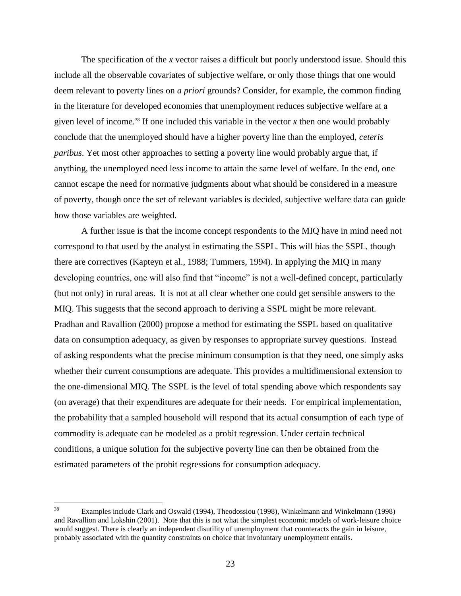The specification of the *x* vector raises a difficult but poorly understood issue. Should this include all the observable covariates of subjective welfare, or only those things that one would deem relevant to poverty lines on *a priori* grounds? Consider, for example, the common finding in the literature for developed economies that unemployment reduces subjective welfare at a given level of income.<sup>38</sup> If one included this variable in the vector  $x$  then one would probably conclude that the unemployed should have a higher poverty line than the employed, *ceteris paribus*. Yet most other approaches to setting a poverty line would probably argue that, if anything, the unemployed need less income to attain the same level of welfare. In the end, one cannot escape the need for normative judgments about what should be considered in a measure of poverty, though once the set of relevant variables is decided, subjective welfare data can guide how those variables are weighted.

A further issue is that the income concept respondents to the MIQ have in mind need not correspond to that used by the analyst in estimating the SSPL. This will bias the SSPL, though there are correctives (Kapteyn et al., 1988; Tummers, 1994). In applying the MIQ in many developing countries, one will also find that "income" is not a well-defined concept, particularly (but not only) in rural areas. It is not at all clear whether one could get sensible answers to the MIQ. This suggests that the second approach to deriving a SSPL might be more relevant. Pradhan and Ravallion (2000) propose a method for estimating the SSPL based on qualitative data on consumption adequacy, as given by responses to appropriate survey questions. Instead of asking respondents what the precise minimum consumption is that they need, one simply asks whether their current consumptions are adequate. This provides a multidimensional extension to the one-dimensional MIQ. The SSPL is the level of total spending above which respondents say (on average) that their expenditures are adequate for their needs. For empirical implementation, the probability that a sampled household will respond that its actual consumption of each type of commodity is adequate can be modeled as a probit regression. Under certain technical conditions, a unique solution for the subjective poverty line can then be obtained from the estimated parameters of the probit regressions for consumption adequacy.

 38 Examples include Clark and Oswald (1994), Theodossiou (1998), Winkelmann and Winkelmann (1998) and Ravallion and Lokshin (2001). Note that this is not what the simplest economic models of work-leisure choice would suggest. There is clearly an independent disutility of unemployment that counteracts the gain in leisure, probably associated with the quantity constraints on choice that involuntary unemployment entails.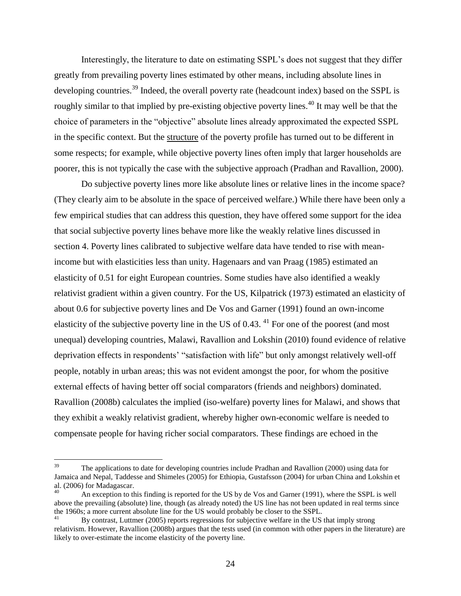Interestingly, the literature to date on estimating SSPL's does not suggest that they differ greatly from prevailing poverty lines estimated by other means, including absolute lines in developing countries.<sup>39</sup> Indeed, the overall poverty rate (headcount index) based on the SSPL is roughly similar to that implied by pre-existing objective poverty lines.<sup>40</sup> It may well be that the choice of parameters in the "objective" absolute lines already approximated the expected SSPL in the specific context. But the structure of the poverty profile has turned out to be different in some respects; for example, while objective poverty lines often imply that larger households are poorer, this is not typically the case with the subjective approach (Pradhan and Ravallion, 2000).

Do subjective poverty lines more like absolute lines or relative lines in the income space? (They clearly aim to be absolute in the space of perceived welfare.) While there have been only a few empirical studies that can address this question, they have offered some support for the idea that social subjective poverty lines behave more like the weakly relative lines discussed in section 4. Poverty lines calibrated to subjective welfare data have tended to rise with meanincome but with elasticities less than unity. Hagenaars and van Praag (1985) estimated an elasticity of 0.51 for eight European countries. Some studies have also identified a weakly relativist gradient within a given country. For the US, Kilpatrick (1973) estimated an elasticity of about 0.6 for subjective poverty lines and De Vos and Garner (1991) found an own-income elasticity of the subjective poverty line in the US of  $0.43$ . <sup>41</sup> For one of the poorest (and most unequal) developing countries, Malawi, Ravallion and Lokshin (2010) found evidence of relative deprivation effects in respondents' "satisfaction with life" but only amongst relatively well-off people, notably in urban areas; this was not evident amongst the poor, for whom the positive external effects of having better off social comparators (friends and neighbors) dominated. Ravallion (2008b) calculates the implied (iso-welfare) poverty lines for Malawi, and shows that they exhibit a weakly relativist gradient, whereby higher own-economic welfare is needed to compensate people for having richer social comparators. These findings are echoed in the

<sup>39</sup> The applications to date for developing countries include Pradhan and Ravallion (2000) using data for Jamaica and Nepal, Taddesse and Shimeles (2005) for Ethiopia, Gustafsson (2004) for urban China and Lokshin et al. (2006) for Madagascar.

An exception to this finding is reported for the US by de Vos and Garner (1991), where the SSPL is well above the prevailing (absolute) line, though (as already noted) the US line has not been updated in real terms since the 1960s; a more current absolute line for the US would probably be closer to the SSPL.

<sup>41</sup> By contrast, Luttmer (2005) reports regressions for subjective welfare in the US that imply strong relativism. However, Ravallion (2008b) argues that the tests used (in common with other papers in the literature) are likely to over-estimate the income elasticity of the poverty line.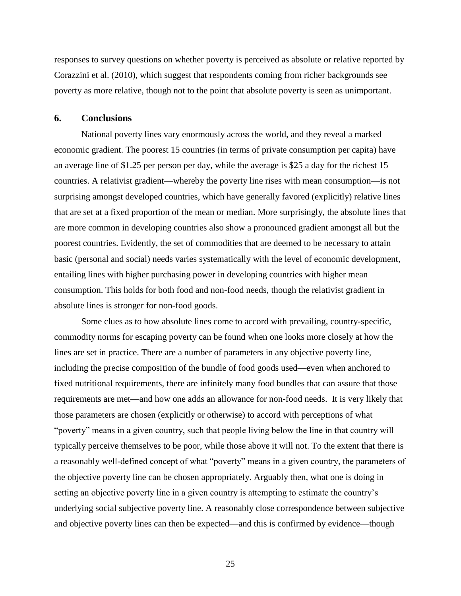responses to survey questions on whether poverty is perceived as absolute or relative reported by Corazzini et al. (2010), which suggest that respondents coming from richer backgrounds see poverty as more relative, though not to the point that absolute poverty is seen as unimportant.

## **6. Conclusions**

National poverty lines vary enormously across the world, and they reveal a marked economic gradient. The poorest 15 countries (in terms of private consumption per capita) have an average line of \$1.25 per person per day, while the average is \$25 a day for the richest 15 countries. A relativist gradient—whereby the poverty line rises with mean consumption—is not surprising amongst developed countries, which have generally favored (explicitly) relative lines that are set at a fixed proportion of the mean or median. More surprisingly, the absolute lines that are more common in developing countries also show a pronounced gradient amongst all but the poorest countries. Evidently, the set of commodities that are deemed to be necessary to attain basic (personal and social) needs varies systematically with the level of economic development, entailing lines with higher purchasing power in developing countries with higher mean consumption. This holds for both food and non-food needs, though the relativist gradient in absolute lines is stronger for non-food goods.

Some clues as to how absolute lines come to accord with prevailing, country-specific, commodity norms for escaping poverty can be found when one looks more closely at how the lines are set in practice. There are a number of parameters in any objective poverty line, including the precise composition of the bundle of food goods used—even when anchored to fixed nutritional requirements, there are infinitely many food bundles that can assure that those requirements are met—and how one adds an allowance for non-food needs. It is very likely that those parameters are chosen (explicitly or otherwise) to accord with perceptions of what "poverty" means in a given country, such that people living below the line in that country will typically perceive themselves to be poor, while those above it will not. To the extent that there is a reasonably well-defined concept of what "poverty" means in a given country, the parameters of the objective poverty line can be chosen appropriately. Arguably then, what one is doing in setting an objective poverty line in a given country is attempting to estimate the country's underlying social subjective poverty line. A reasonably close correspondence between subjective and objective poverty lines can then be expected—and this is confirmed by evidence—though

25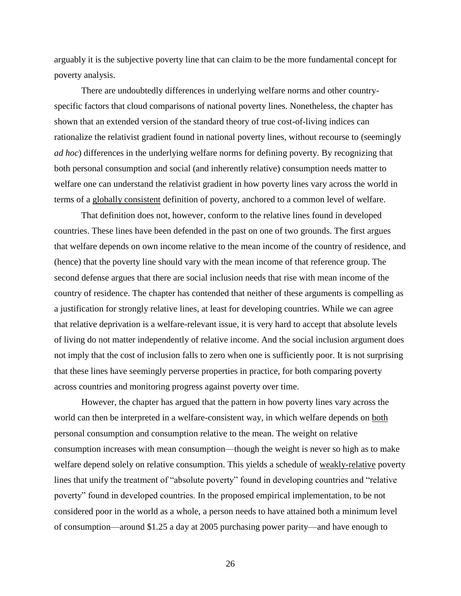arguably it is the subjective poverty line that can claim to be the more fundamental concept for poverty analysis.

There are undoubtedly differences in underlying welfare norms and other countryspecific factors that cloud comparisons of national poverty lines. Nonetheless, the chapter has shown that an extended version of the standard theory of true cost-of-living indices can rationalize the relativist gradient found in national poverty lines, without recourse to (seemingly *ad hoc*) differences in the underlying welfare norms for defining poverty. By recognizing that both personal consumption and social (and inherently relative) consumption needs matter to welfare one can understand the relativist gradient in how poverty lines vary across the world in terms of a globally consistent definition of poverty, anchored to a common level of welfare.

That definition does not, however, conform to the relative lines found in developed countries. These lines have been defended in the past on one of two grounds. The first argues that welfare depends on own income relative to the mean income of the country of residence, and (hence) that the poverty line should vary with the mean income of that reference group. The second defense argues that there are social inclusion needs that rise with mean income of the country of residence. The chapter has contended that neither of these arguments is compelling as a justification for strongly relative lines, at least for developing countries. While we can agree that relative deprivation is a welfare-relevant issue, it is very hard to accept that absolute levels of living do not matter independently of relative income. And the social inclusion argument does not imply that the cost of inclusion falls to zero when one is sufficiently poor. It is not surprising that these lines have seemingly perverse properties in practice, for both comparing poverty across countries and monitoring progress against poverty over time.

However, the chapter has argued that the pattern in how poverty lines vary across the world can then be interpreted in a welfare-consistent way, in which welfare depends on both personal consumption and consumption relative to the mean. The weight on relative consumption increases with mean consumption—though the weight is never so high as to make welfare depend solely on relative consumption. This yields a schedule of weakly-relative poverty lines that unify the treatment of "absolute poverty" found in developing countries and "relative poverty" found in developed countries. In the proposed empirical implementation, to be not considered poor in the world as a whole, a person needs to have attained both a minimum level of consumption—around \$1.25 a day at 2005 purchasing power parity—and have enough to

26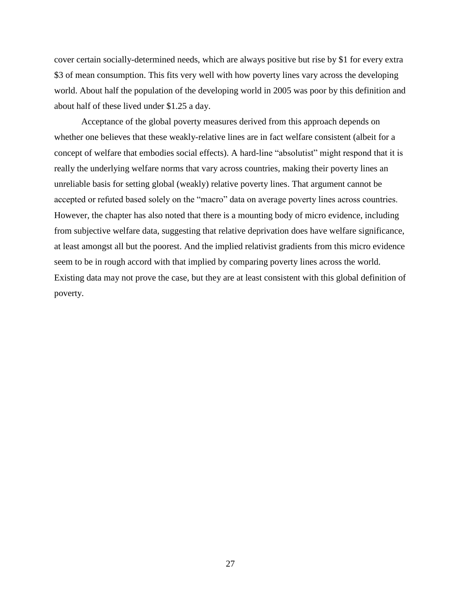cover certain socially-determined needs, which are always positive but rise by \$1 for every extra \$3 of mean consumption. This fits very well with how poverty lines vary across the developing world. About half the population of the developing world in 2005 was poor by this definition and about half of these lived under \$1.25 a day.

Acceptance of the global poverty measures derived from this approach depends on whether one believes that these weakly-relative lines are in fact welfare consistent (albeit for a concept of welfare that embodies social effects). A hard-line "absolutist" might respond that it is really the underlying welfare norms that vary across countries, making their poverty lines an unreliable basis for setting global (weakly) relative poverty lines. That argument cannot be accepted or refuted based solely on the "macro" data on average poverty lines across countries. However, the chapter has also noted that there is a mounting body of micro evidence, including from subjective welfare data, suggesting that relative deprivation does have welfare significance, at least amongst all but the poorest. And the implied relativist gradients from this micro evidence seem to be in rough accord with that implied by comparing poverty lines across the world. Existing data may not prove the case, but they are at least consistent with this global definition of poverty.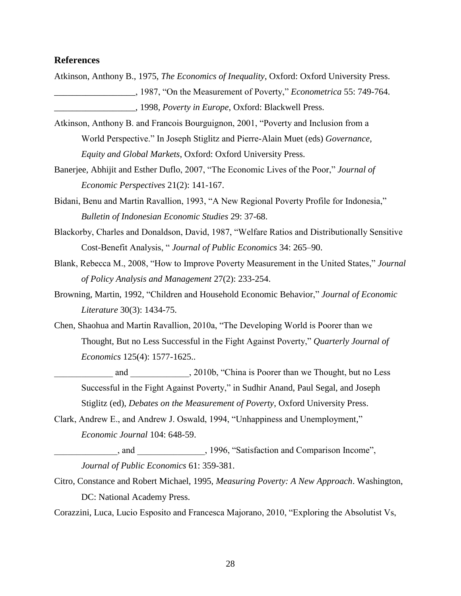#### **References**

- Atkinson, Anthony B., 1975, *The Economics of Inequality*, Oxford: Oxford University Press. \_\_\_\_\_\_\_\_\_\_\_\_\_\_\_\_\_\_, 1987, "On the Measurement of Poverty," *Econometrica* 55: 749-764.
	- \_\_\_\_\_\_\_\_\_\_\_\_\_\_\_\_\_\_, 1998, *Poverty in Europe*, Oxford: Blackwell Press.

Atkinson, Anthony B. and Francois Bourguignon, 2001, "Poverty and Inclusion from a World Perspective." In Joseph Stiglitz and Pierre-Alain Muet (eds) *Governance, Equity and Global Markets*, Oxford: Oxford University Press.

- Banerjee, Abhijit and Esther Duflo, 2007, "The Economic Lives of the Poor," *Journal of Economic Perspectives* 21(2): 141-167.
- Bidani, Benu and Martin Ravallion, 1993, "A New Regional Poverty Profile for Indonesia," *Bulletin of Indonesian Economic Studies* 29: 37-68.
- Blackorby, Charles and Donaldson, David, 1987, "Welfare Ratios and Distributionally Sensitive Cost-Benefit Analysis, " *Journal of Public Economics* 34: 265–90.
- Blank, Rebecca M., 2008, "How to Improve Poverty Measurement in the United States," *Journal of Policy Analysis and Management* 27(2): 233-254.
- Browning, Martin, 1992, "Children and Household Economic Behavior," *Journal of Economic Literature* 30(3): 1434-75.
- Chen, Shaohua and Martin Ravallion, 2010a, "The Developing World is Poorer than we Thought, But no Less Successful in the Fight Against Poverty," *Quarterly Journal of Economics* 125(4): 1577-1625..

and 2010b, "China is Poorer than we Thought, but no Less Successful in the Fight Against Poverty," in Sudhir Anand, Paul Segal, and Joseph Stiglitz (ed), *Debates on the Measurement of Poverty*, Oxford University Press.

Clark, Andrew E., and Andrew J. Oswald, 1994, "Unhappiness and Unemployment," *Economic Journal* 104: 648-59.

and 1996, "Satisfaction and Comparison Income", *Journal of Public Economics* 61: 359-381.

Citro, Constance and Robert Michael, 1995, *Measuring Poverty: A New Approach*. Washington, DC: National Academy Press.

Corazzini, Luca, Lucio Esposito and Francesca Majorano, 2010, "Exploring the Absolutist Vs,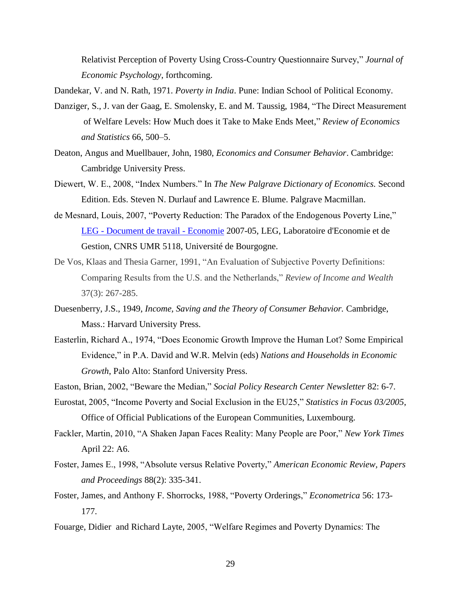Relativist Perception of Poverty Using Cross-Country Questionnaire Survey," *Journal of Economic Psychology*, forthcoming.

Dandekar, V. and N. Rath, 1971. *Poverty in India*. Pune: Indian School of Political Economy.

- Danziger, S., J. van der Gaag, E. Smolensky, E. and M. Taussig, 1984, "The Direct Measurement of Welfare Levels: How Much does it Take to Make Ends Meet," *Review of Economics and Statistics* 66, 500–5.
- Deaton, Angus and Muellbauer, John, 1980, *Economics and Consumer Behavior*. Cambridge: Cambridge University Press.
- Diewert, W. E., 2008, "Index Numbers." In *The New Palgrave Dictionary of Economics.* Second Edition. Eds. Steven N. Durlauf and Lawrence E. Blume. Palgrave Macmillan.
- de Mesnard, Louis, 2007, "Poverty Reduction: The Paradox of the Endogenous Poverty Line," LEG - [Document de travail -](http://ideas.repec.org/s/lat/legeco.html) Economie 2007-05, LEG, Laboratoire d'Economie et de Gestion, CNRS UMR 5118, Université de Bourgogne.
- De Vos, Klaas and Thesia Garner, 1991, "An Evaluation of Subjective Poverty Definitions: Comparing Results from the U.S. and the Netherlands," *Review of Income and Wealth* 37(3): 267-285.
- Duesenberry, J.S., 1949, *Income, Saving and the Theory of Consumer Behavior.* Cambridge, Mass.: Harvard University Press.
- Easterlin, Richard A., 1974, "Does Economic Growth Improve the Human Lot? Some Empirical Evidence," in P.A. David and W.R. Melvin (eds) *Nations and Households in Economic Growth*, Palo Alto: Stanford University Press.
- Easton, Brian, 2002, "Beware the Median," *Social Policy Research Center Newsletter* 82: 6-7.
- Eurostat, 2005, "Income Poverty and Social Exclusion in the EU25," *Statistics in Focus 03/2005*, Office of Official Publications of the European Communities, Luxembourg.
- Fackler, Martin, 2010, "A Shaken Japan Faces Reality: Many People are Poor," *New York Times* April 22: A6.
- Foster, James E., 1998, "Absolute versus Relative Poverty," *American Economic Review, Papers and Proceedings* 88(2): 335-341.
- Foster, James, and Anthony F. Shorrocks, 1988, "Poverty Orderings," *Econometrica* 56: 173- 177.
- Fouarge, Didier and Richard Layte, 2005, "Welfare Regimes and Poverty Dynamics: The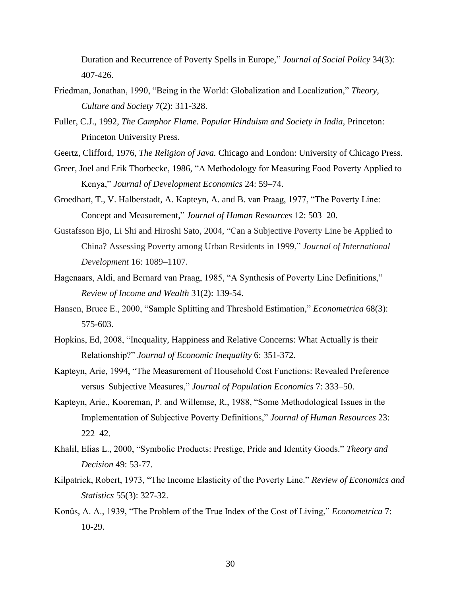Duration and Recurrence of Poverty Spells in Europe," *Journal of Social Policy* 34(3): 407-426.

- Friedman, Jonathan, 1990, "Being in the World: Globalization and Localization," *Theory, Culture and Society* 7(2): 311-328.
- Fuller, C.J., 1992, *The Camphor Flame. Popular Hinduism and Society in India,* Princeton: Princeton University Press.
- Geertz, Clifford, 1976, *The Religion of Java.* Chicago and London: University of Chicago Press.
- Greer, Joel and Erik Thorbecke, 1986, "A Methodology for Measuring Food Poverty Applied to Kenya," *Journal of Development Economics* 24: 59–74.
- Groedhart, T., V. Halberstadt, A. Kapteyn, A. and B. van Praag, 1977, "The Poverty Line: Concept and Measurement," *Journal of Human Resources* 12: 503–20.
- Gustafsson Bjo, Li Shi and Hiroshi Sato, 2004, "Can a Subjective Poverty Line be Applied to China? Assessing Poverty among Urban Residents in 1999," *Journal of International Development* 16: 1089–1107.
- Hagenaars, Aldi, and Bernard van Praag, 1985, "A Synthesis of Poverty Line Definitions," *Review of Income and Wealth* 31(2): 139-54.
- Hansen, Bruce E., 2000, "Sample Splitting and Threshold Estimation," *Econometrica* 68(3): 575-603.
- Hopkins, Ed, 2008, "Inequality, Happiness and Relative Concerns: What Actually is their Relationship?" *Journal of Economic Inequality* 6: 351-372.
- Kapteyn, Arie, 1994, "The Measurement of Household Cost Functions: Revealed Preference versus Subjective Measures," *Journal of Population Economics* 7: 333–50.
- Kapteyn, Arie., Kooreman, P. and Willemse, R., 1988, "Some Methodological Issues in the Implementation of Subjective Poverty Definitions," *Journal of Human Resources* 23: 222–42.
- Khalil, Elias L., 2000, "Symbolic Products: Prestige, Pride and Identity Goods." *Theory and Decision* 49: 53-77.
- Kilpatrick, Robert, 1973, "The Income Elasticity of the Poverty Line." *Review of Economics and Statistics* 55(3): 327-32.
- Konüs, A. A., 1939, "The Problem of the True Index of the Cost of Living," *Econometrica* 7: 10-29.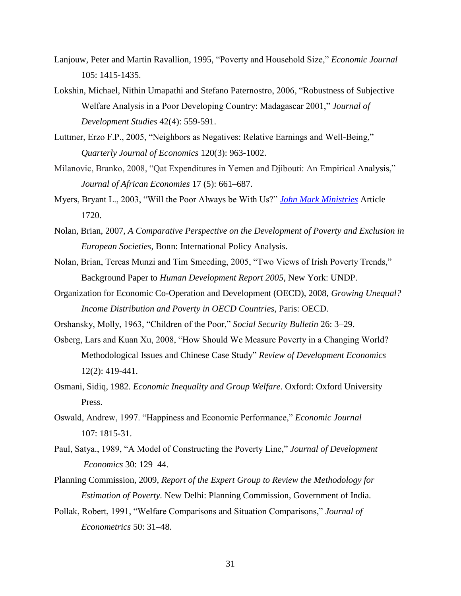- Lanjouw, Peter and Martin Ravallion, 1995, "Poverty and Household Size," *Economic Journal* 105: 1415-1435.
- Lokshin, Michael, Nithin Umapathi and Stefano Paternostro, 2006, "Robustness of Subjective Welfare Analysis in a Poor Developing Country: Madagascar 2001," *Journal of Development Studies* 42(4): 559-591.
- Luttmer, Erzo F.P., 2005, "Neighbors as Negatives: Relative Earnings and Well-Being," *Quarterly Journal of Economics* 120(3): 963-1002.
- Milanovic, Branko, 2008, "Qat Expenditures in Yemen and Djibouti: An Empirical Analysis," *Journal of African Economies* 17 (5): 661–687.
- Myers, Bryant L., 2003, "Will the Poor Always be With Us?" *[John Mark Ministries](http://jmm.aaa.net.au/articles/1720.htm)* Article 1720.
- Nolan, Brian, 2007, *A Comparative Perspective on the Development of Poverty and Exclusion in European Societies*, Bonn: International Policy Analysis.
- Nolan, Brian, Tereas Munzi and Tim Smeeding, 2005, "Two Views of Irish Poverty Trends," Background Paper to *Human Development Report 2005*, New York: UNDP.
- Organization for Economic Co-Operation and Development (OECD), 2008, *Growing Unequal? Income Distribution and Poverty in OECD Countries*, Paris: OECD.
- Orshansky, Molly, 1963, "Children of the Poor," *Social Security Bulletin* 26: 3–29.
- Osberg, Lars and Kuan Xu, 2008, "How Should We Measure Poverty in a Changing World? Methodological Issues and Chinese Case Study" *Review of Development Economics*  12(2): 419-441.
- Osmani, Sidiq, 1982. *Economic Inequality and Group Welfare*. Oxford: Oxford University Press.
- Oswald, Andrew, 1997. "Happiness and Economic Performance," *Economic Journal* 107: 1815-31.
- Paul, Satya., 1989, "A Model of Constructing the Poverty Line," *Journal of Development Economics* 30: 129–44.
- Planning Commission, 2009, *Report of the Expert Group to Review the Methodology for Estimation of Poverty.* New Delhi: Planning Commission, Government of India.
- Pollak, Robert, 1991, "Welfare Comparisons and Situation Comparisons," *Journal of Econometrics* 50: 31–48.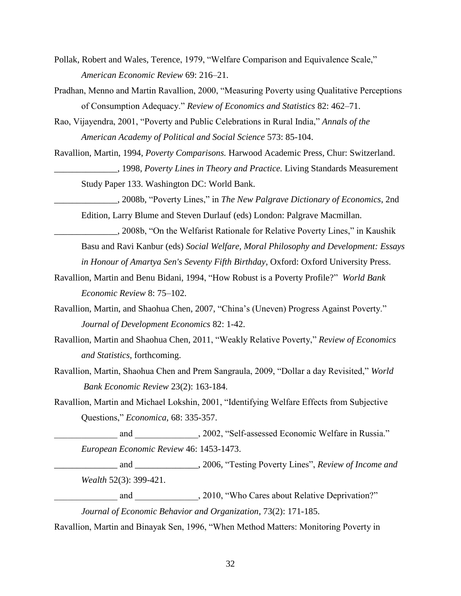- Pollak, Robert and Wales, Terence, 1979, "Welfare Comparison and Equivalence Scale," *American Economic Review* 69: 216–21.
- Pradhan, Menno and Martin Ravallion, 2000, "Measuring Poverty using Qualitative Perceptions of Consumption Adequacy." *Review of Economics and Statistics* 82: 462–71.
- Rao, Vijayendra, 2001, "Poverty and Public Celebrations in Rural India," *Annals of the American Academy of Political and Social Science* 573: 85-104.
- Ravallion, Martin, 1994, *Poverty Comparisons.* Harwood Academic Press, Chur: Switzerland. \_\_\_\_\_\_\_\_\_\_\_\_\_\_, 1998, *Poverty Lines in Theory and Practice.* Living Standards Measurement Study Paper 133. Washington DC: World Bank.

\_\_\_\_\_\_\_\_\_\_\_\_\_\_, 2008b, "Poverty Lines," in *The New Palgrave Dictionary of Economics*, 2nd Edition, Larry Blume and Steven Durlauf (eds) London: Palgrave Macmillan.

- \_\_\_\_\_\_\_\_\_\_\_\_\_\_, 2008b, "On the Welfarist Rationale for Relative Poverty Lines," in Kaushik Basu and Ravi Kanbur (eds) *Social Welfare, Moral Philosophy and Development: Essays in Honour of Amartya Sen's Seventy Fifth Birthday*, Oxford: Oxford University Press.
- Ravallion, Martin and Benu Bidani, 1994, "How Robust is a Poverty Profile?" *World Bank Economic Review* 8: 75–102.
- Ravallion, Martin, and Shaohua Chen, 2007, "China's (Uneven) Progress Against Poverty." *Journal of Development Economics* 82: 1-42.
- Ravallion, Martin and Shaohua Chen, 2011, "Weakly Relative Poverty," *Review of Economics and Statistics*, forthcoming.
- Ravallion, Martin, Shaohua Chen and Prem Sangraula, 2009, "Dollar a day Revisited," *World Bank Economic Review* 23(2): 163-184.
- Ravallion, Martin and Michael Lokshin, 2001, "Identifying Welfare Effects from Subjective Questions," *Economica*, 68: 335-357.

and and 2002, "Self-assessed Economic Welfare in Russia." *European Economic Review* 46: 1453-1473.

\_\_\_\_\_\_\_\_\_\_\_\_\_\_ and \_\_\_\_\_\_\_\_\_\_\_\_\_\_, 2006, "Testing Poverty Lines", *Review of Income and Wealth* 52(3): 399-421.

and \_\_\_\_\_\_\_\_\_\_\_\_\_\_\_\_\_\_\_\_\_\_, 2010, "Who Cares about Relative Deprivation?" *Journal of Economic Behavior and Organization*, 73(2): 171-185.

Ravallion, Martin and Binayak Sen, 1996, "When Method Matters: Monitoring Poverty in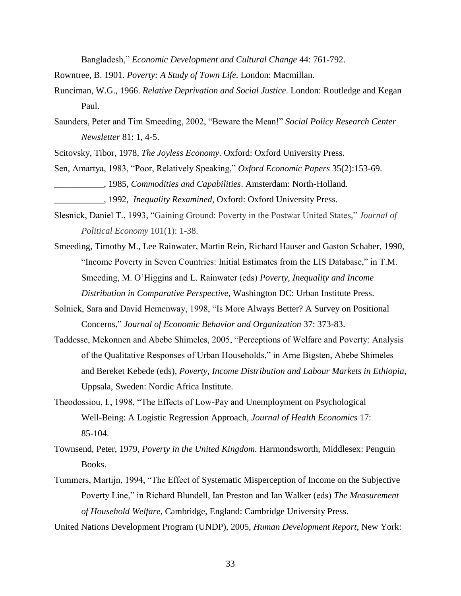Bangladesh," *Economic Development and Cultural Change* 44: 761-792.

- Rowntree, B. 1901. *Poverty: A Study of Town Life*. London: Macmillan.
- Runciman, W.G., 1966. *Relative Deprivation and Social Justice*. London: Routledge and Kegan Paul.
- Saunders, Peter and Tim Smeeding, 2002, "Beware the Mean!" *Social Policy Research Center Newsletter* 81: 1, 4-5.
- Scitovsky, Tibor, 1978, *The Joyless Economy*. Oxford: Oxford University Press.
- Sen, Amartya, 1983, "Poor, Relatively Speaking," *Oxford Economic Papers* 35(2):153-69. \_\_\_\_\_\_\_\_\_\_\_, 1985, *Commodities and Capabilities*. Amsterdam: North-Holland.
	- \_\_\_\_\_\_\_\_\_\_\_, 1992, *Inequality Rexamined*, Oxford: Oxford University Press.
- Slesnick, Daniel T., 1993, "Gaining Ground: Poverty in the Postwar United States," *Journal of Political Economy* 101(1): 1-38.
- Smeeding, Timothy M., Lee Rainwater, Martin Rein, Richard Hauser and Gaston Schaber, 1990, "Income Poverty in Seven Countries: Initial Estimates from the LIS Database," in T.M. Smeeding, M. O'Higgins and L. Rainwater (eds) *Poverty, Inequality and Income Distribution in Comparative Perspective*, Washington DC: Urban Institute Press.
- Solnick, Sara and David Hemenway, 1998, "Is More Always Better? A Survey on Positional Concerns," *Journal of Economic Behavior and Organization* 37: 373-83.
- Taddesse, Mekonnen and Abebe Shimeles, 2005, "Perceptions of Welfare and Poverty: Analysis of the Qualitative Responses of Urban Households," in Arne Bigsten, Abebe Shimeles and Bereket Kebede (eds), *Poverty, Income Distribution and Labour Markets in Ethiopia*, Uppsala, Sweden: Nordic Africa Institute.
- Theodossiou, I., 1998, "The Effects of Low-Pay and Unemployment on Psychological Well-Being: A Logistic Regression Approach, *Journal of Health Economics* 17: 85-104.
- Townsend, Peter, 1979, *Poverty in the United Kingdom.* Harmondsworth, Middlesex: Penguin Books.
- Tummers, Martijn, 1994, "The Effect of Systematic Misperception of Income on the Subjective Poverty Line," in Richard Blundell, Ian Preston and Ian Walker (eds) *The Measurement of Household Welfare*, Cambridge, England: Cambridge University Press.
- United Nations Development Program (UNDP), 2005, *Human Development Report*, New York: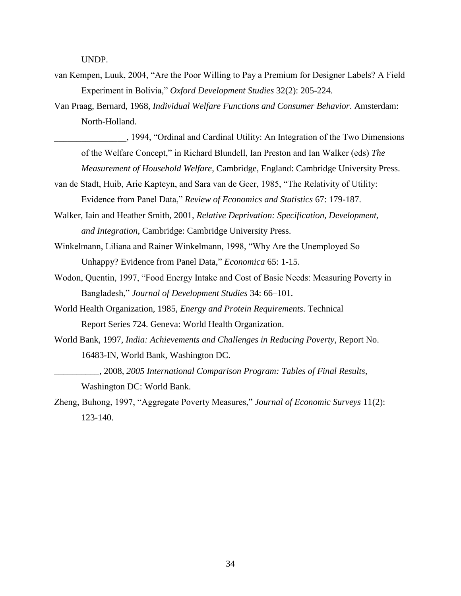UNDP.

- van Kempen, Luuk, 2004, "Are the Poor Willing to Pay a Premium for Designer Labels? A Field Experiment in Bolivia," *Oxford Development Studies* 32(2): 205-224.
- Van Praag, Bernard, 1968, *Individual Welfare Functions and Consumer Behavior*. Amsterdam: North-Holland.
	- \_\_\_\_\_\_\_\_\_\_\_\_\_\_\_\_, 1994, "Ordinal and Cardinal Utility: An Integration of the Two Dimensions of the Welfare Concept," in Richard Blundell, Ian Preston and Ian Walker (eds) *The*

*Measurement of Household Welfare*, Cambridge, England: Cambridge University Press.

- van de Stadt, Huib, Arie Kapteyn, and Sara van de Geer, 1985, "The Relativity of Utility: Evidence from Panel Data," *Review of Economics and Statistics* 67: 179-187.
- Walker, Iain and Heather Smith, 2001, *Relative Deprivation: Specification, Development, and Integration*, Cambridge: Cambridge University Press.
- Winkelmann, Liliana and Rainer Winkelmann, 1998, "Why Are the Unemployed So Unhappy? Evidence from Panel Data," *Economica* 65: 1-15.
- Wodon, Quentin, 1997, "Food Energy Intake and Cost of Basic Needs: Measuring Poverty in Bangladesh," *Journal of Development Studies* 34: 66–101.
- World Health Organization, 1985, *Energy and Protein Requirements*. Technical Report Series 724. Geneva: World Health Organization.
- World Bank, 1997, *India: Achievements and Challenges in Reducing Poverty*, Report No. 16483-IN, World Bank, Washington DC.
- \_\_\_\_\_\_\_\_\_\_, 2008, *2005 International Comparison Program: Tables of Final Results*, Washington DC: World Bank.
- Zheng, Buhong, 1997, "Aggregate Poverty Measures," *Journal of Economic Surveys* 11(2): 123-140.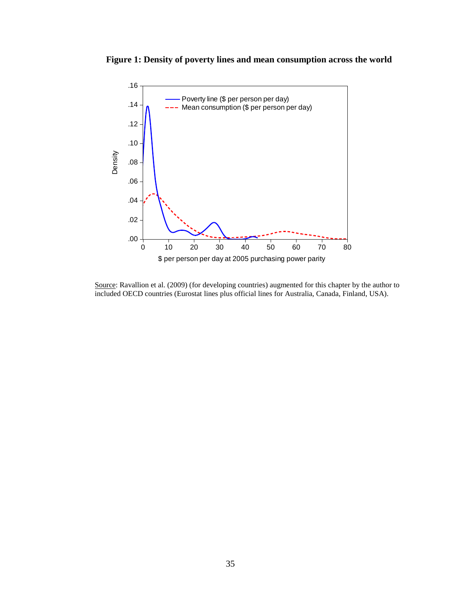**Figure 1: Density of poverty lines and mean consumption across the world**



Source: Ravallion et al. (2009) (for developing countries) augmented for this chapter by the author to included OECD countries (Eurostat lines plus official lines for Australia, Canada, Finland, USA).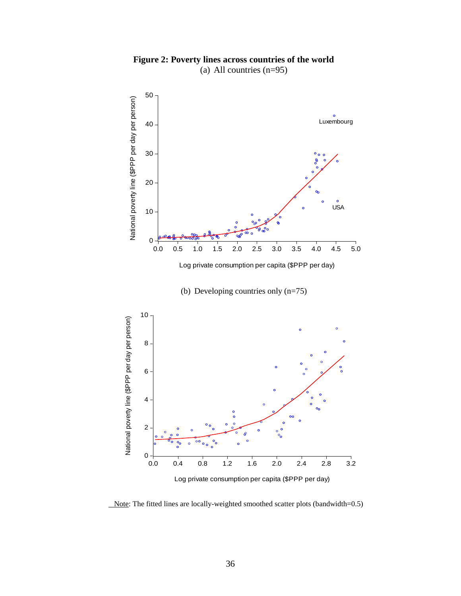

 **Figure 2: Poverty lines across countries of the world** (a) All countries (n=95)

Note: The fitted lines are locally-weighted smoothed scatter plots (bandwidth=0.5)